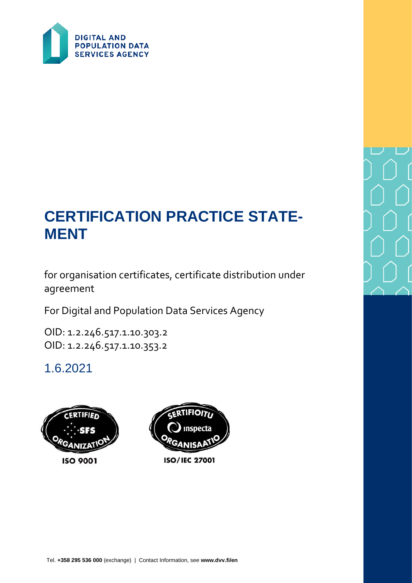

# **CERTIFICATION PRACTICE STATE-MENT**

for organisation certificates, certificate distribution under agreement

For Digital and Population Data Services Agency

OID: 1.2.246.517.1.10.303.2 OID: 1.2.246.517.1.10.353.2

1.6.2021

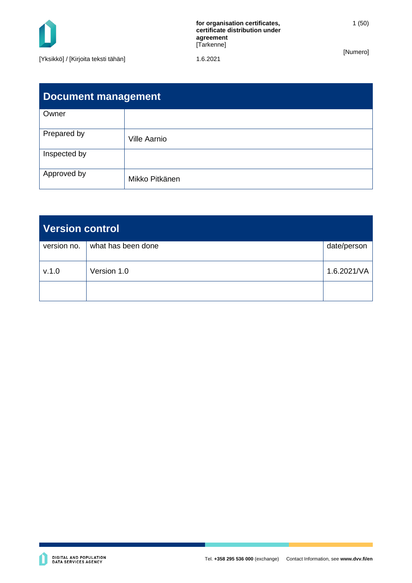

1 (50)

| Document management |                     |  |  |
|---------------------|---------------------|--|--|
| Owner               |                     |  |  |
| Prepared by         | <b>Ville Aarnio</b> |  |  |
| Inspected by        |                     |  |  |
| Approved by         | Mikko Pitkänen      |  |  |

| <b>Version control</b> |                    |             |  |  |
|------------------------|--------------------|-------------|--|--|
| version no.            | what has been done | date/person |  |  |
| V.1.0                  | Version 1.0        | 1.6.2021/VA |  |  |
|                        |                    |             |  |  |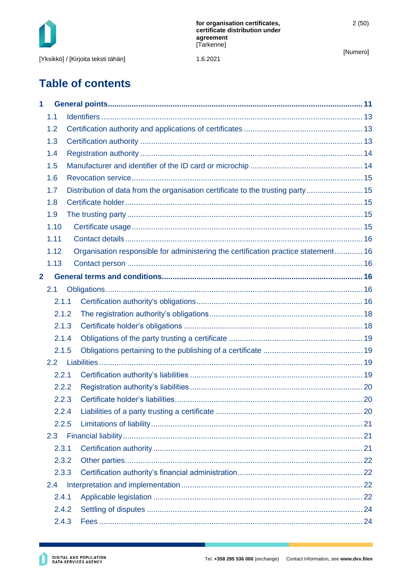

1.6.2021

[Numero]

# **Table of contents**

| 1              |       |                                                                                    |  |
|----------------|-------|------------------------------------------------------------------------------------|--|
|                | 1.1   |                                                                                    |  |
|                | 1.2   |                                                                                    |  |
|                | 1.3   |                                                                                    |  |
|                | 1.4   |                                                                                    |  |
|                | 1.5   |                                                                                    |  |
|                | 1.6   |                                                                                    |  |
|                | 1.7   | Distribution of data from the organisation certificate to the trusting party15     |  |
|                | 1.8   |                                                                                    |  |
|                | 1.9   |                                                                                    |  |
|                | 1.10  |                                                                                    |  |
|                | 1.11  |                                                                                    |  |
|                | 1.12  | Organisation responsible for administering the certification practice statement 16 |  |
|                | 1.13  |                                                                                    |  |
| $\overline{2}$ |       |                                                                                    |  |
|                | 2.1   |                                                                                    |  |
|                | 2.1.1 |                                                                                    |  |
|                | 2.1.2 |                                                                                    |  |
|                | 2.1.3 |                                                                                    |  |
|                | 2.1.4 |                                                                                    |  |
|                | 2.1.5 |                                                                                    |  |
|                | 2.2   |                                                                                    |  |
|                | 2.2.1 |                                                                                    |  |
|                | 2.2.2 |                                                                                    |  |
|                | 2.2.3 |                                                                                    |  |
|                | 2.2.4 |                                                                                    |  |
|                | 2.2.5 |                                                                                    |  |
|                | 2.3   |                                                                                    |  |
|                | 2.3.1 |                                                                                    |  |
|                | 2.3.2 |                                                                                    |  |
|                | 2.3.3 |                                                                                    |  |
|                | 2.4   |                                                                                    |  |
|                | 2.4.1 |                                                                                    |  |
|                | 2.4.2 |                                                                                    |  |
|                | 2.4.3 |                                                                                    |  |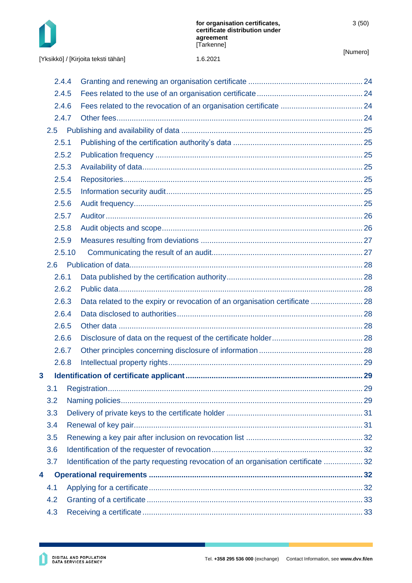

|  | [Yksikkö] / [Kirjoita teksti tähän] |  |  |
|--|-------------------------------------|--|--|
|--|-------------------------------------|--|--|

#### 1.6.2021

|   | 2.4.4 |        |                                                                                      |  |
|---|-------|--------|--------------------------------------------------------------------------------------|--|
|   | 2.4.5 |        |                                                                                      |  |
|   | 2.4.6 |        |                                                                                      |  |
|   | 2.4.7 |        |                                                                                      |  |
|   | 2.5   |        |                                                                                      |  |
|   | 2.5.1 |        |                                                                                      |  |
|   | 2.5.2 |        |                                                                                      |  |
|   | 2.5.3 |        |                                                                                      |  |
|   | 2.5.4 |        |                                                                                      |  |
|   | 2.5.5 |        |                                                                                      |  |
|   | 2.5.6 |        |                                                                                      |  |
|   | 2.5.7 |        |                                                                                      |  |
|   | 2.5.8 |        |                                                                                      |  |
|   | 2.5.9 |        |                                                                                      |  |
|   |       | 2.5.10 |                                                                                      |  |
|   | 2.6   |        |                                                                                      |  |
|   | 2.6.1 |        |                                                                                      |  |
|   | 2.6.2 |        |                                                                                      |  |
|   | 2.6.3 |        | Data related to the expiry or revocation of an organisation certificate  28          |  |
|   | 2.6.4 |        |                                                                                      |  |
|   | 2.6.5 |        |                                                                                      |  |
|   | 2.6.6 |        |                                                                                      |  |
|   | 2.6.7 |        |                                                                                      |  |
|   | 2.6.8 |        |                                                                                      |  |
| 3 |       |        |                                                                                      |  |
|   | 3.1   |        |                                                                                      |  |
|   | 3.2   |        |                                                                                      |  |
|   | 3.3   |        |                                                                                      |  |
|   | 3.4   |        |                                                                                      |  |
|   | 3.5   |        |                                                                                      |  |
|   | 3.6   |        |                                                                                      |  |
|   | 3.7   |        | Identification of the party requesting revocation of an organisation certificate  32 |  |
| 4 |       |        |                                                                                      |  |
|   | 4.1   |        |                                                                                      |  |
|   | 4.2   |        |                                                                                      |  |
|   | 4.3   |        |                                                                                      |  |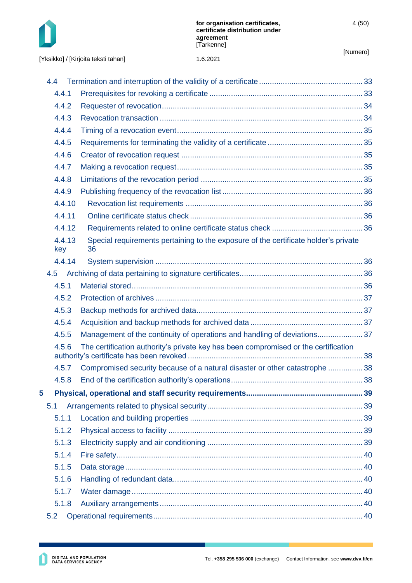

| [Yksikkö] / [Kirjoita teksti tähän] | 1.6.2021 |
|-------------------------------------|----------|
|-------------------------------------|----------|

|   | 4.4           |                                                                                           |  |
|---|---------------|-------------------------------------------------------------------------------------------|--|
|   | 4.4.1         |                                                                                           |  |
|   | 4.4.2         |                                                                                           |  |
|   | 4.4.3         |                                                                                           |  |
|   | 4.4.4         |                                                                                           |  |
|   | 4.4.5         |                                                                                           |  |
|   | 4.4.6         |                                                                                           |  |
|   | 4.4.7         |                                                                                           |  |
|   | 4.4.8         |                                                                                           |  |
|   | 4.4.9         |                                                                                           |  |
|   | 4.4.10        |                                                                                           |  |
|   | 4.4.11        |                                                                                           |  |
|   | 4.4.12        |                                                                                           |  |
|   | 4.4.13<br>key | Special requirements pertaining to the exposure of the certificate holder's private<br>36 |  |
|   | 4.4.14        |                                                                                           |  |
|   | 4.5           |                                                                                           |  |
|   | 4.5.1         |                                                                                           |  |
|   | 4.5.2         |                                                                                           |  |
|   | 4.5.3         |                                                                                           |  |
|   | 4.5.4         |                                                                                           |  |
|   | 4.5.5         | Management of the continuity of operations and handling of deviations37                   |  |
|   | 4.5.6         | The certification authority's private key has been compromised or the certification       |  |
|   | 4.5.7         | Compromised security because of a natural disaster or other catastrophe  38               |  |
|   | 4.5.8         |                                                                                           |  |
| 5 |               |                                                                                           |  |
|   | 5.1           |                                                                                           |  |
|   | 5.1.1         |                                                                                           |  |
|   | 5.1.2         |                                                                                           |  |
|   | 5.1.3         |                                                                                           |  |
|   | 5.1.4         |                                                                                           |  |
|   | 5.1.5         |                                                                                           |  |
|   | 5.1.6         |                                                                                           |  |
|   | 5.1.7         |                                                                                           |  |
|   | 5.1.8         |                                                                                           |  |
|   | 5.2           |                                                                                           |  |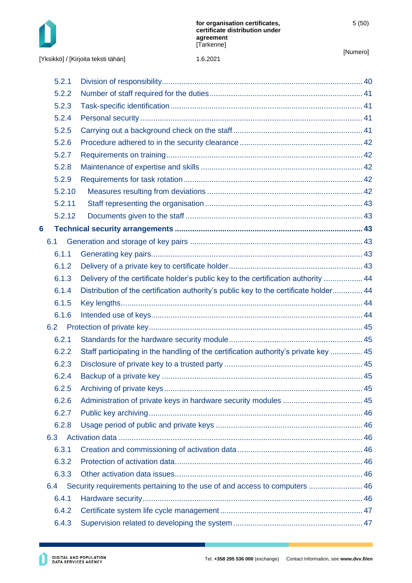

| [Yksikkö] / [Kirjoita teksti tähän] |  |  |  |
|-------------------------------------|--|--|--|
|-------------------------------------|--|--|--|

# 1.6.2021

|   | 5.2.1  |                                                                                       |  |
|---|--------|---------------------------------------------------------------------------------------|--|
|   | 5.2.2  |                                                                                       |  |
|   | 5.2.3  |                                                                                       |  |
|   | 5.2.4  |                                                                                       |  |
|   | 5.2.5  |                                                                                       |  |
|   | 5.2.6  |                                                                                       |  |
|   | 5.2.7  |                                                                                       |  |
|   | 5.2.8  |                                                                                       |  |
|   | 5.2.9  |                                                                                       |  |
|   | 5.2.10 |                                                                                       |  |
|   | 5.2.11 |                                                                                       |  |
|   | 5.2.12 |                                                                                       |  |
| 6 |        |                                                                                       |  |
|   | 6.1    |                                                                                       |  |
|   | 6.1.1  |                                                                                       |  |
|   | 6.1.2  |                                                                                       |  |
|   | 6.1.3  | Delivery of the certificate holder's public key to the certification authority  44    |  |
|   | 6.1.4  | Distribution of the certification authority's public key to the certificate holder 44 |  |
|   | 6.1.5  |                                                                                       |  |
|   | 6.1.6  |                                                                                       |  |
|   | 6.2    |                                                                                       |  |
|   | 6.2.1  |                                                                                       |  |
|   | 6.2.2  | Staff participating in the handling of the certification authority's private key  45  |  |
|   | 6.2.3  |                                                                                       |  |
|   | 6.2.4  |                                                                                       |  |
|   | 6.2.5  |                                                                                       |  |
|   | 6.2.6  |                                                                                       |  |
|   | 6.2.7  |                                                                                       |  |
|   | 6.2.8  |                                                                                       |  |
|   | 6.3    |                                                                                       |  |
|   | 6.3.1  |                                                                                       |  |
|   | 6.3.2  |                                                                                       |  |
|   | 6.3.3  |                                                                                       |  |
|   | 6.4    | Security requirements pertaining to the use of and access to computers  46            |  |
|   | 6.4.1  |                                                                                       |  |
|   | 6.4.2  |                                                                                       |  |
|   | 6.4.3  |                                                                                       |  |
|   |        |                                                                                       |  |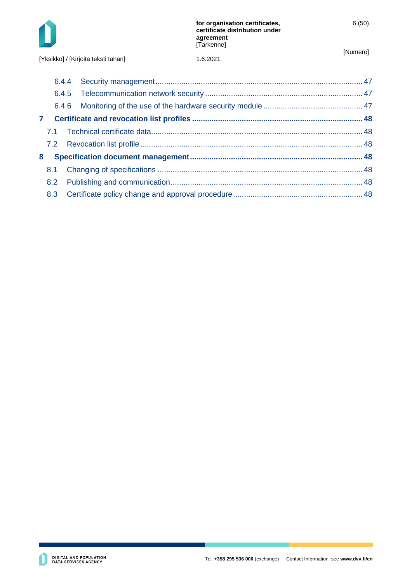

[Yksikkö] / [Kirjoita teksti tähän]

| 6.202 |  |
|-------|--|
|       |  |

| $\mathbf{7}$ |               |  |
|--------------|---------------|--|
|              |               |  |
|              |               |  |
| 8            |               |  |
|              | 8.1           |  |
|              | $8.2^{\circ}$ |  |
|              | 8.3           |  |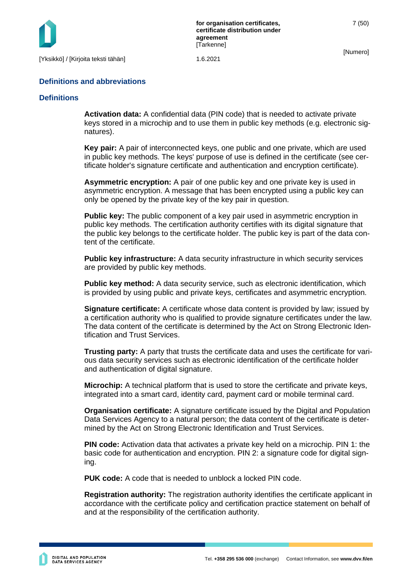

7 (50)

#### **Definitions and abbreviations**

#### **Definitions**

**Activation data:** A confidential data (PIN code) that is needed to activate private keys stored in a microchip and to use them in public key methods (e.g. electronic signatures).

**Key pair:** A pair of interconnected keys, one public and one private, which are used in public key methods. The keys' purpose of use is defined in the certificate (see certificate holder's signature certificate and authentication and encryption certificate).

**Asymmetric encryption:** A pair of one public key and one private key is used in asymmetric encryption. A message that has been encrypted using a public key can only be opened by the private key of the key pair in question.

**Public key:** The public component of a key pair used in asymmetric encryption in public key methods. The certification authority certifies with its digital signature that the public key belongs to the certificate holder. The public key is part of the data content of the certificate.

**Public key infrastructure:** A data security infrastructure in which security services are provided by public key methods.

**Public key method:** A data security service, such as electronic identification, which is provided by using public and private keys, certificates and asymmetric encryption.

**Signature certificate:** A certificate whose data content is provided by law; issued by a certification authority who is qualified to provide signature certificates under the law. The data content of the certificate is determined by the Act on Strong Electronic Identification and Trust Services.

**Trusting party:** A party that trusts the certificate data and uses the certificate for various data security services such as electronic identification of the certificate holder and authentication of digital signature.

**Microchip:** A technical platform that is used to store the certificate and private keys, integrated into a smart card, identity card, payment card or mobile terminal card.

**Organisation certificate:** A signature certificate issued by the Digital and Population Data Services Agency to a natural person; the data content of the certificate is determined by the Act on Strong Electronic Identification and Trust Services.

**PIN code:** Activation data that activates a private key held on a microchip. PIN 1: the basic code for authentication and encryption. PIN 2: a signature code for digital signing.

**PUK code:** A code that is needed to unblock a locked PIN code.

**Registration authority:** The registration authority identifies the certificate applicant in accordance with the certificate policy and certification practice statement on behalf of and at the responsibility of the certification authority.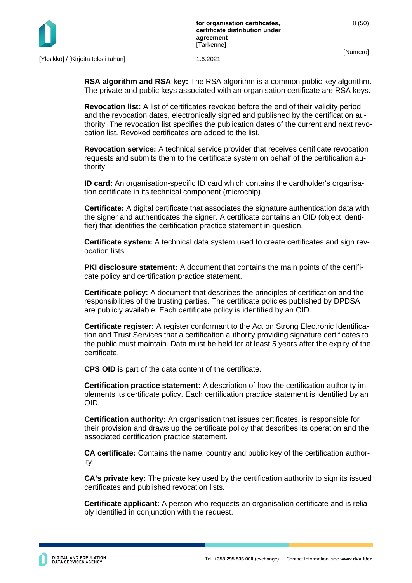

**RSA algorithm and RSA key:** The RSA algorithm is a common public key algorithm. The private and public keys associated with an organisation certificate are RSA keys.

**Revocation list:** A list of certificates revoked before the end of their validity period and the revocation dates, electronically signed and published by the certification authority. The revocation list specifies the publication dates of the current and next revocation list. Revoked certificates are added to the list.

**Revocation service:** A technical service provider that receives certificate revocation requests and submits them to the certificate system on behalf of the certification authority.

**ID card:** An organisation-specific ID card which contains the cardholder's organisation certificate in its technical component (microchip).

**Certificate:** A digital certificate that associates the signature authentication data with the signer and authenticates the signer. A certificate contains an OID (object identifier) that identifies the certification practice statement in question.

**Certificate system:** A technical data system used to create certificates and sign revocation lists.

**PKI disclosure statement:** A document that contains the main points of the certificate policy and certification practice statement.

**Certificate policy:** A document that describes the principles of certification and the responsibilities of the trusting parties. The certificate policies published by DPDSA are publicly available. Each certificate policy is identified by an OID.

**Certificate register:** A register conformant to the Act on Strong Electronic Identification and Trust Services that a certification authority providing signature certificates to the public must maintain. Data must be held for at least 5 years after the expiry of the certificate.

**CPS OID** is part of the data content of the certificate.

**Certification practice statement:** A description of how the certification authority implements its certificate policy. Each certification practice statement is identified by an OID.

**Certification authority:** An organisation that issues certificates, is responsible for their provision and draws up the certificate policy that describes its operation and the associated certification practice statement.

**CA certificate:** Contains the name, country and public key of the certification authority.

**CA's private key:** The private key used by the certification authority to sign its issued certificates and published revocation lists.

**Certificate applicant:** A person who requests an organisation certificate and is reliably identified in conjunction with the request.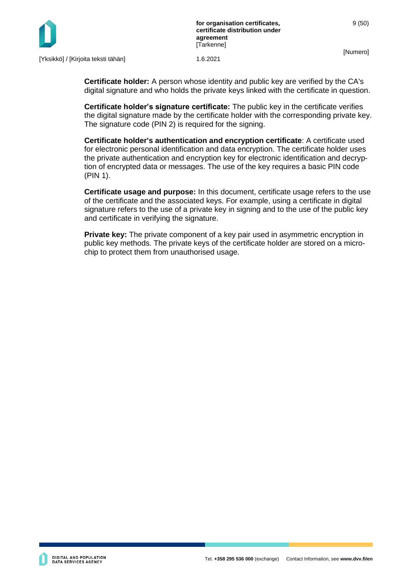

**Certificate holder:** A person whose identity and public key are verified by the CA's digital signature and who holds the private keys linked with the certificate in question.

**Certificate holder's signature certificate:** The public key in the certificate verifies the digital signature made by the certificate holder with the corresponding private key. The signature code (PIN 2) is required for the signing.

**Certificate holder's authentication and encryption certificate**: A certificate used for electronic personal identification and data encryption. The certificate holder uses the private authentication and encryption key for electronic identification and decryption of encrypted data or messages. The use of the key requires a basic PIN code (PIN 1).

**Certificate usage and purpose:** In this document, certificate usage refers to the use of the certificate and the associated keys. For example, using a certificate in digital signature refers to the use of a private key in signing and to the use of the public key and certificate in verifying the signature.

**Private key:** The private component of a key pair used in asymmetric encryption in public key methods. The private keys of the certificate holder are stored on a microchip to protect them from unauthorised usage.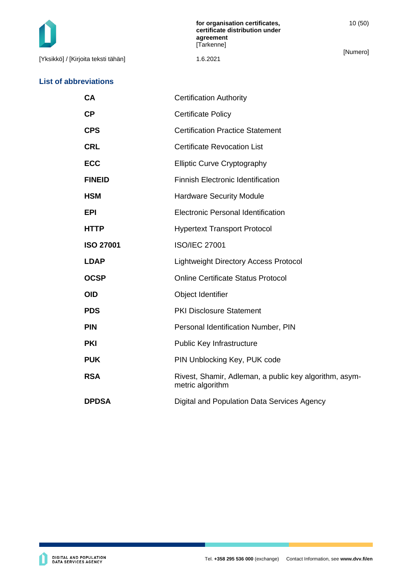[Yksikkö] / [Kirjoita teksti tähän] 1.6.2021

### **List of abbreviations**

[Numero]

| CA               | <b>Certification Authority</b>                                             |
|------------------|----------------------------------------------------------------------------|
| CP               | <b>Certificate Policy</b>                                                  |
| <b>CPS</b>       | <b>Certification Practice Statement</b>                                    |
| <b>CRL</b>       | <b>Certificate Revocation List</b>                                         |
| <b>ECC</b>       | <b>Elliptic Curve Cryptography</b>                                         |
| <b>FINEID</b>    | <b>Finnish Electronic Identification</b>                                   |
| <b>HSM</b>       | <b>Hardware Security Module</b>                                            |
| <b>EPI</b>       | Electronic Personal Identification                                         |
| <b>HTTP</b>      | <b>Hypertext Transport Protocol</b>                                        |
| <b>ISO 27001</b> | <b>ISO/IEC 27001</b>                                                       |
| <b>LDAP</b>      | <b>Lightweight Directory Access Protocol</b>                               |
| <b>OCSP</b>      | <b>Online Certificate Status Protocol</b>                                  |
| <b>OID</b>       | Object Identifier                                                          |
| <b>PDS</b>       | <b>PKI Disclosure Statement</b>                                            |
| <b>PIN</b>       | Personal Identification Number, PIN                                        |
| <b>PKI</b>       | Public Key Infrastructure                                                  |
| <b>PUK</b>       | PIN Unblocking Key, PUK code                                               |
| <b>RSA</b>       | Rivest, Shamir, Adleman, a public key algorithm, asym-<br>metric algorithm |
| <b>DPDSA</b>     | Digital and Population Data Services Agency                                |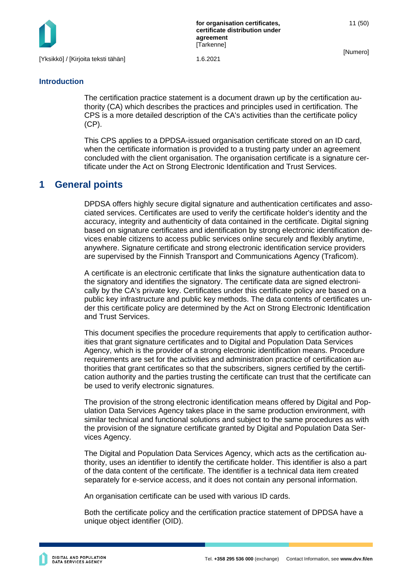

**for organisation certificates, certificate distribution under agreement [Tarkenne]** 

[Numero]

11 (50)

### **Introduction**

The certification practice statement is a document drawn up by the certification authority (CA) which describes the practices and principles used in certification. The CPS is a more detailed description of the CA's activities than the certificate policy (CP).

This CPS applies to a DPDSA-issued organisation certificate stored on an ID card, when the certificate information is provided to a trusting party under an agreement concluded with the client organisation. The organisation certificate is a signature certificate under the Act on Strong Electronic Identification and Trust Services.

# <span id="page-11-0"></span>**1 General points**

DPDSA offers highly secure digital signature and authentication certificates and associated services. Certificates are used to verify the certificate holder's identity and the accuracy, integrity and authenticity of data contained in the certificate. Digital signing based on signature certificates and identification by strong electronic identification devices enable citizens to access public services online securely and flexibly anytime, anywhere. Signature certificate and strong electronic identification service providers are supervised by the Finnish Transport and Communications Agency (Traficom).

A certificate is an electronic certificate that links the signature authentication data to the signatory and identifies the signatory. The certificate data are signed electronically by the CA's private key. Certificates under this certificate policy are based on a public key infrastructure and public key methods. The data contents of certificates under this certificate policy are determined by the Act on Strong Electronic Identification and Trust Services.

This document specifies the procedure requirements that apply to certification authorities that grant signature certificates and to Digital and Population Data Services Agency, which is the provider of a strong electronic identification means. Procedure requirements are set for the activities and administration practice of certification authorities that grant certificates so that the subscribers, signers certified by the certification authority and the parties trusting the certificate can trust that the certificate can be used to verify electronic signatures.

The provision of the strong electronic identification means offered by Digital and Population Data Services Agency takes place in the same production environment, with similar technical and functional solutions and subject to the same procedures as with the provision of the signature certificate granted by Digital and Population Data Services Agency.

The Digital and Population Data Services Agency, which acts as the certification authority, uses an identifier to identify the certificate holder. This identifier is also a part of the data content of the certificate. The identifier is a technical data item created separately for e-service access, and it does not contain any personal information.

An organisation certificate can be used with various ID cards.

Both the certificate policy and the certification practice statement of DPDSA have a unique object identifier (OID).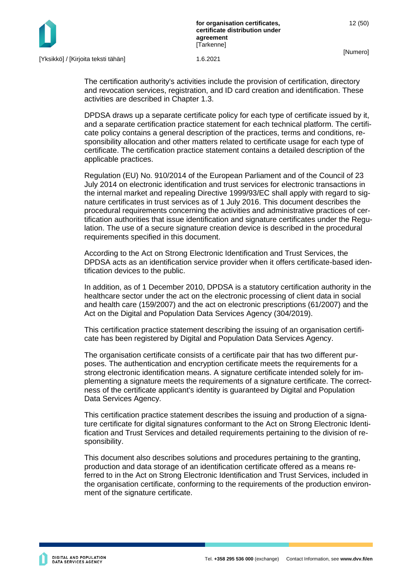

The certification authority's activities include the provision of certification, directory and revocation services, registration, and ID card creation and identification. These activities are described in Chapter 1.3.

DPDSA draws up a separate certificate policy for each type of certificate issued by it, and a separate certification practice statement for each technical platform. The certificate policy contains a general description of the practices, terms and conditions, responsibility allocation and other matters related to certificate usage for each type of certificate. The certification practice statement contains a detailed description of the applicable practices.

Regulation (EU) No. 910/2014 of the European Parliament and of the Council of 23 July 2014 on electronic identification and trust services for electronic transactions in the internal market and repealing Directive 1999/93/EC shall apply with regard to signature certificates in trust services as of 1 July 2016. This document describes the procedural requirements concerning the activities and administrative practices of certification authorities that issue identification and signature certificates under the Regulation. The use of a secure signature creation device is described in the procedural requirements specified in this document.

According to the Act on Strong Electronic Identification and Trust Services, the DPDSA acts as an identification service provider when it offers certificate-based identification devices to the public.

In addition, as of 1 December 2010, DPDSA is a statutory certification authority in the healthcare sector under the act on the electronic processing of client data in social and health care (159/2007) and the act on electronic prescriptions (61/2007) and the Act on the Digital and Population Data Services Agency (304/2019).

This certification practice statement describing the issuing of an organisation certificate has been registered by Digital and Population Data Services Agency.

The organisation certificate consists of a certificate pair that has two different purposes. The authentication and encryption certificate meets the requirements for a strong electronic identification means. A signature certificate intended solely for implementing a signature meets the requirements of a signature certificate. The correctness of the certificate applicant's identity is guaranteed by Digital and Population Data Services Agency.

This certification practice statement describes the issuing and production of a signature certificate for digital signatures conformant to the Act on Strong Electronic Identification and Trust Services and detailed requirements pertaining to the division of responsibility.

This document also describes solutions and procedures pertaining to the granting, production and data storage of an identification certificate offered as a means referred to in the Act on Strong Electronic Identification and Trust Services, included in the organisation certificate, conforming to the requirements of the production environment of the signature certificate.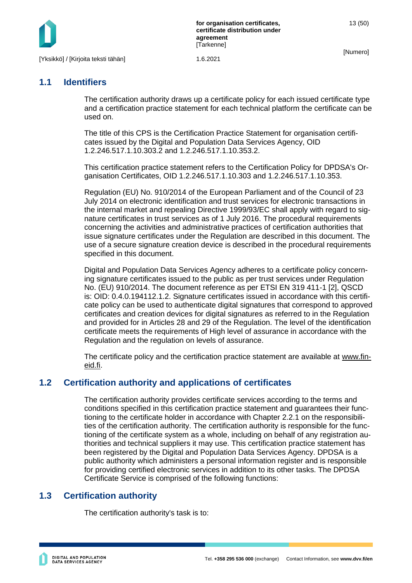

# <span id="page-13-0"></span>**1.1 Identifiers**

The certification authority draws up a certificate policy for each issued certificate type and a certification practice statement for each technical platform the certificate can be used on.

The title of this CPS is the Certification Practice Statement for organisation certificates issued by the Digital and Population Data Services Agency, OID 1.2.246.517.1.10.303.2 and 1.2.246.517.1.10.353.2.

This certification practice statement refers to the Certification Policy for DPDSA's Organisation Certificates, OID 1.2.246.517.1.10.303 and 1.2.246.517.1.10.353.

Regulation (EU) No. 910/2014 of the European Parliament and of the Council of 23 July 2014 on electronic identification and trust services for electronic transactions in the internal market and repealing Directive 1999/93/EC shall apply with regard to signature certificates in trust services as of 1 July 2016. The procedural requirements concerning the activities and administrative practices of certification authorities that issue signature certificates under the Regulation are described in this document. The use of a secure signature creation device is described in the procedural requirements specified in this document.

Digital and Population Data Services Agency adheres to a certificate policy concerning signature certificates issued to the public as per trust services under Regulation No. (EU) 910/2014. The document reference as per ETSI EN 319 411-1 [2], QSCD is: OID: 0.4.0.194112.1.2. Signature certificates issued in accordance with this certificate policy can be used to authenticate digital signatures that correspond to approved certificates and creation devices for digital signatures as referred to in the Regulation and provided for in Articles 28 and 29 of the Regulation. The level of the identification certificate meets the requirements of High level of assurance in accordance with the Regulation and the regulation on levels of assurance.

The certificate policy and the certification practice statement are available at [www.fin](http://www.fineid.fi/)[eid.fi.](http://www.fineid.fi/)

# <span id="page-13-1"></span>**1.2 Certification authority and applications of certificates**

The certification authority provides certificate services according to the terms and conditions specified in this certification practice statement and guarantees their functioning to the certificate holder in accordance with Chapter 2.2.1 on the responsibilities of the certification authority. The certification authority is responsible for the functioning of the certificate system as a whole, including on behalf of any registration authorities and technical suppliers it may use. This certification practice statement has been registered by the Digital and Population Data Services Agency. DPDSA is a public authority which administers a personal information register and is responsible for providing certified electronic services in addition to its other tasks. The DPDSA Certificate Service is comprised of the following functions:

# <span id="page-13-2"></span>**1.3 Certification authority**

The certification authority's task is to: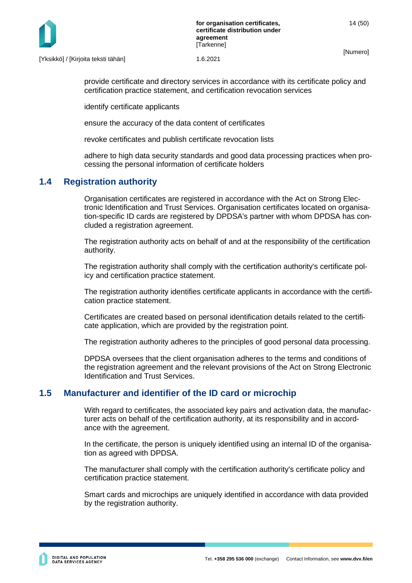

[Yksikkö] / [Kirjoita teksti tähän] 1.6.2021

provide certificate and directory services in accordance with its certificate policy and certification practice statement, and certification revocation services

identify certificate applicants

ensure the accuracy of the data content of certificates

revoke certificates and publish certificate revocation lists

adhere to high data security standards and good data processing practices when processing the personal information of certificate holders

### <span id="page-14-0"></span>**1.4 Registration authority**

Organisation certificates are registered in accordance with the Act on Strong Electronic Identification and Trust Services. Organisation certificates located on organisation-specific ID cards are registered by DPDSA's partner with whom DPDSA has concluded a registration agreement.

The registration authority acts on behalf of and at the responsibility of the certification authority.

The registration authority shall comply with the certification authority's certificate policy and certification practice statement.

The registration authority identifies certificate applicants in accordance with the certification practice statement.

Certificates are created based on personal identification details related to the certificate application, which are provided by the registration point.

The registration authority adheres to the principles of good personal data processing.

DPDSA oversees that the client organisation adheres to the terms and conditions of the registration agreement and the relevant provisions of the Act on Strong Electronic Identification and Trust Services.

### <span id="page-14-1"></span>**1.5 Manufacturer and identifier of the ID card or microchip**

With regard to certificates, the associated key pairs and activation data, the manufacturer acts on behalf of the certification authority, at its responsibility and in accordance with the agreement.

In the certificate, the person is uniquely identified using an internal ID of the organisation as agreed with DPDSA.

The manufacturer shall comply with the certification authority's certificate policy and certification practice statement.

Smart cards and microchips are uniquely identified in accordance with data provided by the registration authority.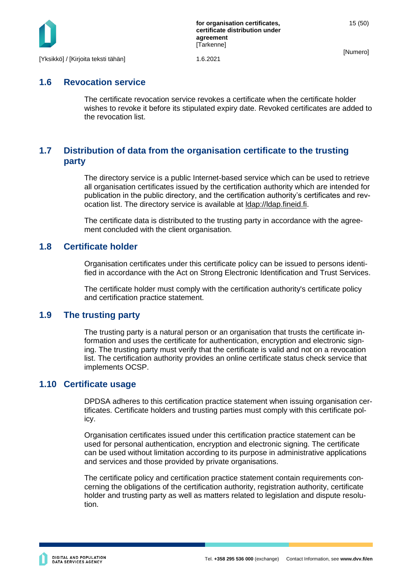

### <span id="page-15-0"></span>**1.6 Revocation service**

The certificate revocation service revokes a certificate when the certificate holder wishes to revoke it before its stipulated expiry date. Revoked certificates are added to the revocation list.

# <span id="page-15-1"></span>**1.7 Distribution of data from the organisation certificate to the trusting party**

The directory service is a public Internet-based service which can be used to retrieve all organisation certificates issued by the certification authority which are intended for publication in the public directory, and the certification authority's certificates and revocation list. The directory service is available at [ldap://ldap.fineid.fi.](ldap://ldap.fineid.fi/)

The certificate data is distributed to the trusting party in accordance with the agreement concluded with the client organisation.

### <span id="page-15-2"></span>**1.8 Certificate holder**

Organisation certificates under this certificate policy can be issued to persons identified in accordance with the Act on Strong Electronic Identification and Trust Services.

The certificate holder must comply with the certification authority's certificate policy and certification practice statement.

# <span id="page-15-3"></span>**1.9 The trusting party**

The trusting party is a natural person or an organisation that trusts the certificate information and uses the certificate for authentication, encryption and electronic signing. The trusting party must verify that the certificate is valid and not on a revocation list. The certification authority provides an online certificate status check service that implements OCSP.

#### <span id="page-15-4"></span>**1.10 Certificate usage**

DPDSA adheres to this certification practice statement when issuing organisation certificates. Certificate holders and trusting parties must comply with this certificate policy.

Organisation certificates issued under this certification practice statement can be used for personal authentication, encryption and electronic signing. The certificate can be used without limitation according to its purpose in administrative applications and services and those provided by private organisations.

The certificate policy and certification practice statement contain requirements concerning the obligations of the certification authority, registration authority, certificate holder and trusting party as well as matters related to legislation and dispute resolution.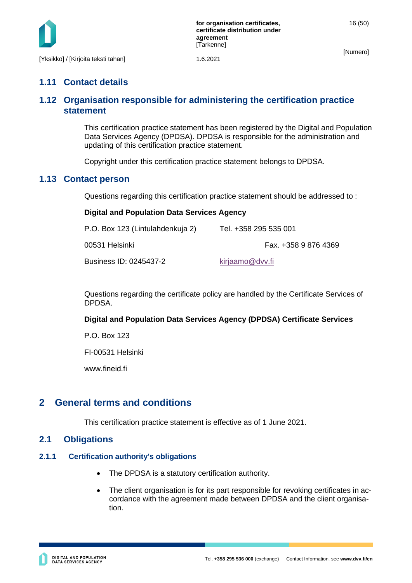

# <span id="page-16-0"></span>**1.11 Contact details**

# <span id="page-16-1"></span>**1.12 Organisation responsible for administering the certification practice statement**

This certification practice statement has been registered by the Digital and Population Data Services Agency (DPDSA). DPDSA is responsible for the administration and updating of this certification practice statement.

Copyright under this certification practice statement belongs to DPDSA.

### <span id="page-16-2"></span>**1.13 Contact person**

Questions regarding this certification practice statement should be addressed to :

#### **Digital and Population Data Services Agency**

| P.O. Box 123 (Lintulahdenkuja 2) | Tel. +358 295 535 001 |
|----------------------------------|-----------------------|
| 00531 Helsinki                   | Fax. +358 9 876 4369  |
| Business ID: 0245437-2           | kirjaamo@dvv.fi       |

Questions regarding the certificate policy are handled by the Certificate Services of DPDSA.

#### **Digital and Population Data Services Agency (DPDSA) Certificate Services**

P.O. Box 123

FI-00531 Helsinki

www.fineid.fi

# <span id="page-16-3"></span>**2 General terms and conditions**

This certification practice statement is effective as of 1 June 2021.

### <span id="page-16-4"></span>**2.1 Obligations**

#### <span id="page-16-5"></span>**2.1.1 Certification authority's obligations**

- The DPDSA is a statutory certification authority.
- The client organisation is for its part responsible for revoking certificates in accordance with the agreement made between DPDSA and the client organisation.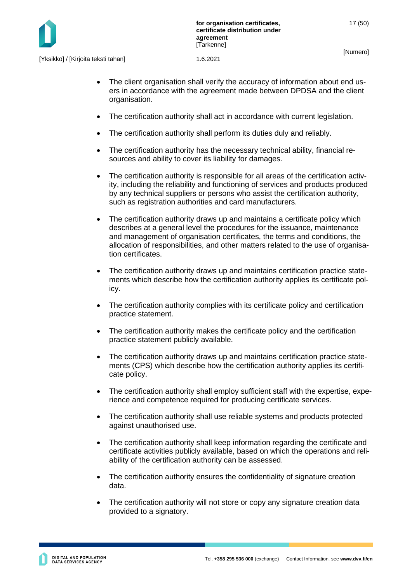

[Yksikkö] / [Kirjoita teksti tähän] 1.6.2021

- The client organisation shall verify the accuracy of information about end users in accordance with the agreement made between DPDSA and the client organisation.
- The certification authority shall act in accordance with current legislation.
- The certification authority shall perform its duties duly and reliably.
- The certification authority has the necessary technical ability, financial resources and ability to cover its liability for damages.
- The certification authority is responsible for all areas of the certification activity, including the reliability and functioning of services and products produced by any technical suppliers or persons who assist the certification authority, such as registration authorities and card manufacturers.
- The certification authority draws up and maintains a certificate policy which describes at a general level the procedures for the issuance, maintenance and management of organisation certificates, the terms and conditions, the allocation of responsibilities, and other matters related to the use of organisation certificates.
- The certification authority draws up and maintains certification practice statements which describe how the certification authority applies its certificate policy.
- The certification authority complies with its certificate policy and certification practice statement.
- The certification authority makes the certificate policy and the certification practice statement publicly available.
- The certification authority draws up and maintains certification practice statements (CPS) which describe how the certification authority applies its certificate policy.
- The certification authority shall employ sufficient staff with the expertise, experience and competence required for producing certificate services.
- The certification authority shall use reliable systems and products protected against unauthorised use.
- The certification authority shall keep information regarding the certificate and certificate activities publicly available, based on which the operations and reliability of the certification authority can be assessed.
- The certification authority ensures the confidentiality of signature creation data.
- The certification authority will not store or copy any signature creation data provided to a signatory.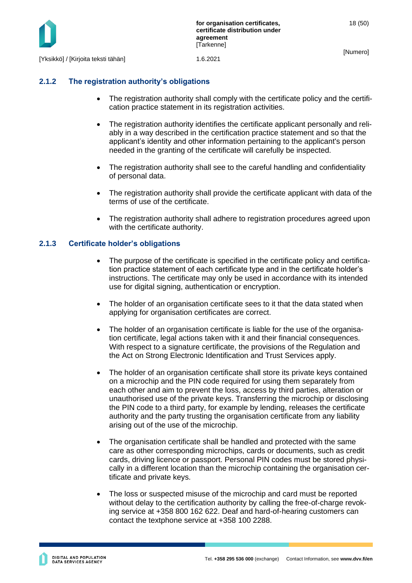

### <span id="page-18-0"></span>**2.1.2 The registration authority's obligations**

- The registration authority shall comply with the certificate policy and the certification practice statement in its registration activities.
- The registration authority identifies the certificate applicant personally and reliably in a way described in the certification practice statement and so that the applicant's identity and other information pertaining to the applicant's person needed in the granting of the certificate will carefully be inspected.
- The registration authority shall see to the careful handling and confidentiality of personal data.
- The registration authority shall provide the certificate applicant with data of the terms of use of the certificate.
- The registration authority shall adhere to registration procedures agreed upon with the certificate authority.

#### <span id="page-18-1"></span>**2.1.3 Certificate holder's obligations**

- The purpose of the certificate is specified in the certificate policy and certification practice statement of each certificate type and in the certificate holder's instructions. The certificate may only be used in accordance with its intended use for digital signing, authentication or encryption.
- The holder of an organisation certificate sees to it that the data stated when applying for organisation certificates are correct.
- The holder of an organisation certificate is liable for the use of the organisation certificate, legal actions taken with it and their financial consequences. With respect to a signature certificate, the provisions of the Regulation and the Act on Strong Electronic Identification and Trust Services apply.
- The holder of an organisation certificate shall store its private keys contained on a microchip and the PIN code required for using them separately from each other and aim to prevent the loss, access by third parties, alteration or unauthorised use of the private keys. Transferring the microchip or disclosing the PIN code to a third party, for example by lending, releases the certificate authority and the party trusting the organisation certificate from any liability arising out of the use of the microchip.
- The organisation certificate shall be handled and protected with the same care as other corresponding microchips, cards or documents, such as credit cards, driving licence or passport. Personal PIN codes must be stored physically in a different location than the microchip containing the organisation certificate and private keys.
- The loss or suspected misuse of the microchip and card must be reported without delay to the certification authority by calling the free-of-charge revoking service at +358 800 162 622. Deaf and hard-of-hearing customers can contact the textphone service at +358 100 2288.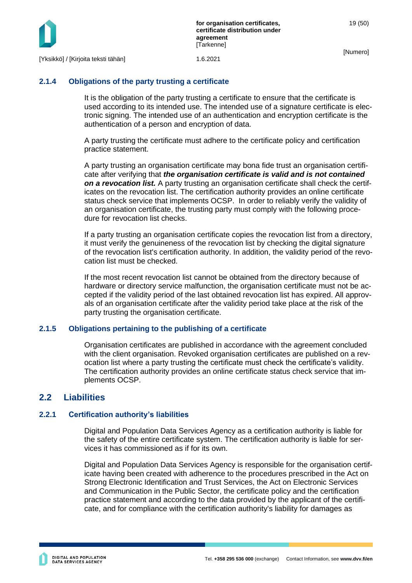

#### <span id="page-19-0"></span>**2.1.4 Obligations of the party trusting a certificate**

It is the obligation of the party trusting a certificate to ensure that the certificate is used according to its intended use. The intended use of a signature certificate is electronic signing. The intended use of an authentication and encryption certificate is the authentication of a person and encryption of data.

A party trusting the certificate must adhere to the certificate policy and certification practice statement.

A party trusting an organisation certificate may bona fide trust an organisation certificate after verifying that *the organisation certificate is valid and is not contained on a revocation list.* A party trusting an organisation certificate shall check the certificates on the revocation list. The certification authority provides an online certificate status check service that implements OCSP. In order to reliably verify the validity of an organisation certificate, the trusting party must comply with the following procedure for revocation list checks.

If a party trusting an organisation certificate copies the revocation list from a directory, it must verify the genuineness of the revocation list by checking the digital signature of the revocation list's certification authority. In addition, the validity period of the revocation list must be checked.

If the most recent revocation list cannot be obtained from the directory because of hardware or directory service malfunction, the organisation certificate must not be accepted if the validity period of the last obtained revocation list has expired. All approvals of an organisation certificate after the validity period take place at the risk of the party trusting the organisation certificate.

#### <span id="page-19-1"></span>**2.1.5 Obligations pertaining to the publishing of a certificate**

Organisation certificates are published in accordance with the agreement concluded with the client organisation. Revoked organisation certificates are published on a revocation list where a party trusting the certificate must check the certificate's validity. The certification authority provides an online certificate status check service that implements OCSP.

#### <span id="page-19-2"></span>**2.2 Liabilities**

#### <span id="page-19-3"></span>**2.2.1 Certification authority's liabilities**

Digital and Population Data Services Agency as a certification authority is liable for the safety of the entire certificate system. The certification authority is liable for services it has commissioned as if for its own.

Digital and Population Data Services Agency is responsible for the organisation certificate having been created with adherence to the procedures prescribed in the Act on Strong Electronic Identification and Trust Services, the Act on Electronic Services and Communication in the Public Sector, the certificate policy and the certification practice statement and according to the data provided by the applicant of the certificate, and for compliance with the certification authority's liability for damages as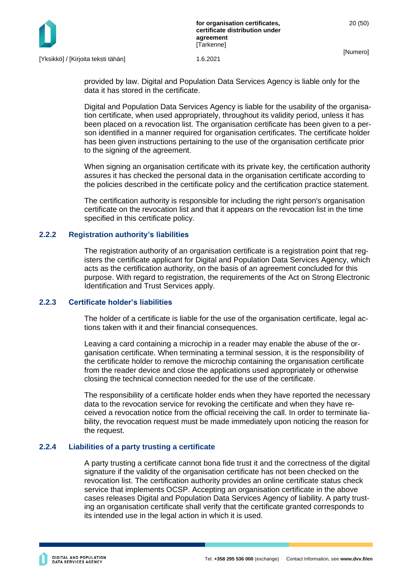

provided by law. Digital and Population Data Services Agency is liable only for the data it has stored in the certificate.

Digital and Population Data Services Agency is liable for the usability of the organisation certificate, when used appropriately, throughout its validity period, unless it has been placed on a revocation list. The organisation certificate has been given to a person identified in a manner required for organisation certificates. The certificate holder has been given instructions pertaining to the use of the organisation certificate prior to the signing of the agreement.

When signing an organisation certificate with its private key, the certification authority assures it has checked the personal data in the organisation certificate according to the policies described in the certificate policy and the certification practice statement.

The certification authority is responsible for including the right person's organisation certificate on the revocation list and that it appears on the revocation list in the time specified in this certificate policy.

#### <span id="page-20-0"></span>**2.2.2 Registration authority's liabilities**

The registration authority of an organisation certificate is a registration point that registers the certificate applicant for Digital and Population Data Services Agency, which acts as the certification authority, on the basis of an agreement concluded for this purpose. With regard to registration, the requirements of the Act on Strong Electronic Identification and Trust Services apply.

#### <span id="page-20-1"></span>**2.2.3 Certificate holder's liabilities**

The holder of a certificate is liable for the use of the organisation certificate, legal actions taken with it and their financial consequences.

Leaving a card containing a microchip in a reader may enable the abuse of the organisation certificate. When terminating a terminal session, it is the responsibility of the certificate holder to remove the microchip containing the organisation certificate from the reader device and close the applications used appropriately or otherwise closing the technical connection needed for the use of the certificate.

The responsibility of a certificate holder ends when they have reported the necessary data to the revocation service for revoking the certificate and when they have received a revocation notice from the official receiving the call. In order to terminate liability, the revocation request must be made immediately upon noticing the reason for the request.

#### <span id="page-20-2"></span>**2.2.4 Liabilities of a party trusting a certificate**

A party trusting a certificate cannot bona fide trust it and the correctness of the digital signature if the validity of the organisation certificate has not been checked on the revocation list. The certification authority provides an online certificate status check service that implements OCSP. Accepting an organisation certificate in the above cases releases Digital and Population Data Services Agency of liability. A party trusting an organisation certificate shall verify that the certificate granted corresponds to its intended use in the legal action in which it is used.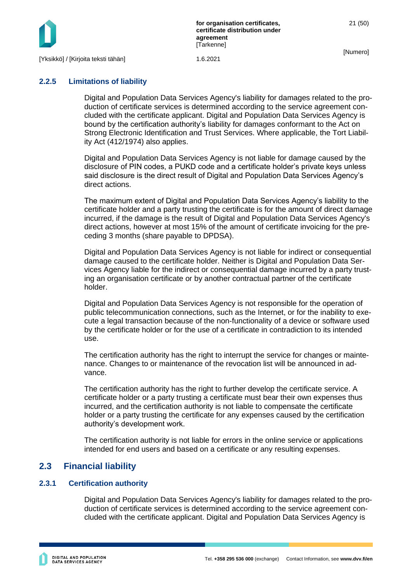

21 (50)

### <span id="page-21-0"></span>**2.2.5 Limitations of liability**

Digital and Population Data Services Agency's liability for damages related to the production of certificate services is determined according to the service agreement concluded with the certificate applicant. Digital and Population Data Services Agency is bound by the certification authority's liability for damages conformant to the Act on Strong Electronic Identification and Trust Services. Where applicable, the Tort Liability Act (412/1974) also applies.

Digital and Population Data Services Agency is not liable for damage caused by the disclosure of PIN codes, a PUKD code and a certificate holder's private keys unless said disclosure is the direct result of Digital and Population Data Services Agency's direct actions.

The maximum extent of Digital and Population Data Services Agency's liability to the certificate holder and a party trusting the certificate is for the amount of direct damage incurred, if the damage is the result of Digital and Population Data Services Agency's direct actions, however at most 15% of the amount of certificate invoicing for the preceding 3 months (share payable to DPDSA).

Digital and Population Data Services Agency is not liable for indirect or consequential damage caused to the certificate holder. Neither is Digital and Population Data Services Agency liable for the indirect or consequential damage incurred by a party trusting an organisation certificate or by another contractual partner of the certificate holder.

Digital and Population Data Services Agency is not responsible for the operation of public telecommunication connections, such as the Internet, or for the inability to execute a legal transaction because of the non-functionality of a device or software used by the certificate holder or for the use of a certificate in contradiction to its intended use.

The certification authority has the right to interrupt the service for changes or maintenance. Changes to or maintenance of the revocation list will be announced in advance.

The certification authority has the right to further develop the certificate service. A certificate holder or a party trusting a certificate must bear their own expenses thus incurred, and the certification authority is not liable to compensate the certificate holder or a party trusting the certificate for any expenses caused by the certification authority's development work.

The certification authority is not liable for errors in the online service or applications intended for end users and based on a certificate or any resulting expenses.

# <span id="page-21-1"></span>**2.3 Financial liability**

#### <span id="page-21-2"></span>**2.3.1 Certification authority**

Digital and Population Data Services Agency's liability for damages related to the production of certificate services is determined according to the service agreement concluded with the certificate applicant. Digital and Population Data Services Agency is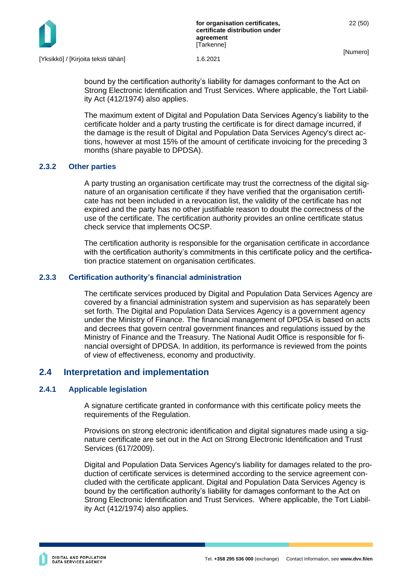

bound by the certification authority's liability for damages conformant to the Act on Strong Electronic Identification and Trust Services. Where applicable, the Tort Liability Act (412/1974) also applies.

The maximum extent of Digital and Population Data Services Agency's liability to the certificate holder and a party trusting the certificate is for direct damage incurred, if the damage is the result of Digital and Population Data Services Agency's direct actions, however at most 15% of the amount of certificate invoicing for the preceding 3 months (share payable to DPDSA).

#### <span id="page-22-0"></span>**2.3.2 Other parties**

A party trusting an organisation certificate may trust the correctness of the digital signature of an organisation certificate if they have verified that the organisation certificate has not been included in a revocation list, the validity of the certificate has not expired and the party has no other justifiable reason to doubt the correctness of the use of the certificate. The certification authority provides an online certificate status check service that implements OCSP.

The certification authority is responsible for the organisation certificate in accordance with the certification authority's commitments in this certificate policy and the certification practice statement on organisation certificates.

#### <span id="page-22-1"></span>**2.3.3 Certification authority's financial administration**

The certificate services produced by Digital and Population Data Services Agency are covered by a financial administration system and supervision as has separately been set forth. The Digital and Population Data Services Agency is a government agency under the Ministry of Finance. The financial management of DPDSA is based on acts and decrees that govern central government finances and regulations issued by the Ministry of Finance and the Treasury. The National Audit Office is responsible for financial oversight of DPDSA. In addition, its performance is reviewed from the points of view of effectiveness, economy and productivity.

### <span id="page-22-2"></span>**2.4 Interpretation and implementation**

#### <span id="page-22-3"></span>**2.4.1 Applicable legislation**

A signature certificate granted in conformance with this certificate policy meets the requirements of the Regulation.

Provisions on strong electronic identification and digital signatures made using a signature certificate are set out in the Act on Strong Electronic Identification and Trust Services (617/2009).

Digital and Population Data Services Agency's liability for damages related to the production of certificate services is determined according to the service agreement concluded with the certificate applicant. Digital and Population Data Services Agency is bound by the certification authority's liability for damages conformant to the Act on Strong Electronic Identification and Trust Services. Where applicable, the Tort Liability Act (412/1974) also applies.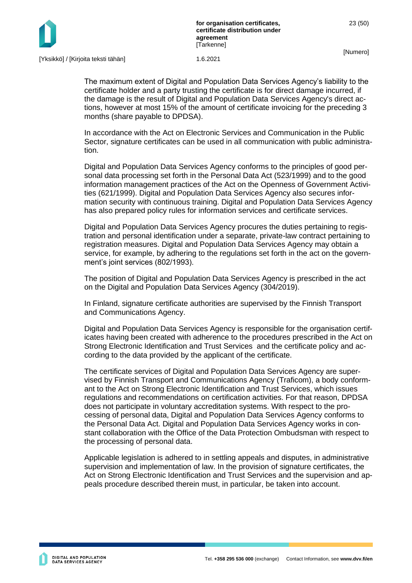

The maximum extent of Digital and Population Data Services Agency's liability to the certificate holder and a party trusting the certificate is for direct damage incurred, if the damage is the result of Digital and Population Data Services Agency's direct actions, however at most 15% of the amount of certificate invoicing for the preceding 3 months (share payable to DPDSA).

In accordance with the Act on Electronic Services and Communication in the Public Sector, signature certificates can be used in all communication with public administration.

Digital and Population Data Services Agency conforms to the principles of good personal data processing set forth in the Personal Data Act (523/1999) and to the good information management practices of the Act on the Openness of Government Activities (621/1999). Digital and Population Data Services Agency also secures information security with continuous training. Digital and Population Data Services Agency has also prepared policy rules for information services and certificate services.

Digital and Population Data Services Agency procures the duties pertaining to registration and personal identification under a separate, private-law contract pertaining to registration measures. Digital and Population Data Services Agency may obtain a service, for example, by adhering to the regulations set forth in the act on the government's joint services (802/1993).

The position of Digital and Population Data Services Agency is prescribed in the act on the Digital and Population Data Services Agency (304/2019).

In Finland, signature certificate authorities are supervised by the Finnish Transport and Communications Agency.

Digital and Population Data Services Agency is responsible for the organisation certificates having been created with adherence to the procedures prescribed in the Act on Strong Electronic Identification and Trust Services and the certificate policy and according to the data provided by the applicant of the certificate.

The certificate services of Digital and Population Data Services Agency are supervised by Finnish Transport and Communications Agency (Traficom), a body conformant to the Act on Strong Electronic Identification and Trust Services, which issues regulations and recommendations on certification activities. For that reason, DPDSA does not participate in voluntary accreditation systems. With respect to the processing of personal data, Digital and Population Data Services Agency conforms to the Personal Data Act. Digital and Population Data Services Agency works in constant collaboration with the Office of the Data Protection Ombudsman with respect to the processing of personal data.

Applicable legislation is adhered to in settling appeals and disputes, in administrative supervision and implementation of law. In the provision of signature certificates, the Act on Strong Electronic Identification and Trust Services and the supervision and appeals procedure described therein must, in particular, be taken into account.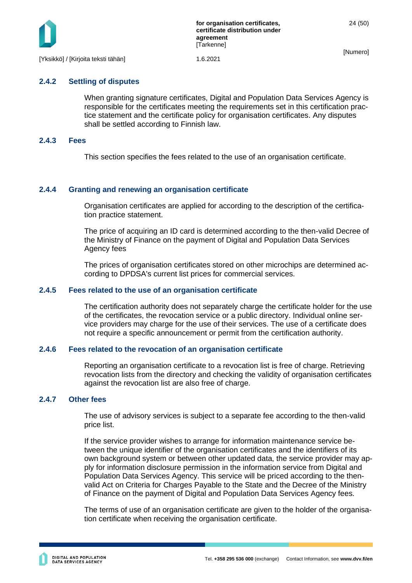

#### <span id="page-24-0"></span>**2.4.2 Settling of disputes**

When granting signature certificates, Digital and Population Data Services Agency is responsible for the certificates meeting the requirements set in this certification practice statement and the certificate policy for organisation certificates. Any disputes shall be settled according to Finnish law.

#### <span id="page-24-1"></span>**2.4.3 Fees**

This section specifies the fees related to the use of an organisation certificate.

#### <span id="page-24-2"></span>**2.4.4 Granting and renewing an organisation certificate**

Organisation certificates are applied for according to the description of the certification practice statement.

The price of acquiring an ID card is determined according to the then-valid Decree of the Ministry of Finance on the payment of Digital and Population Data Services Agency fees

The prices of organisation certificates stored on other microchips are determined according to DPDSA's current list prices for commercial services.

#### <span id="page-24-3"></span>**2.4.5 Fees related to the use of an organisation certificate**

The certification authority does not separately charge the certificate holder for the use of the certificates, the revocation service or a public directory. Individual online service providers may charge for the use of their services. The use of a certificate does not require a specific announcement or permit from the certification authority.

#### <span id="page-24-4"></span>**2.4.6 Fees related to the revocation of an organisation certificate**

Reporting an organisation certificate to a revocation list is free of charge. Retrieving revocation lists from the directory and checking the validity of organisation certificates against the revocation list are also free of charge.

#### <span id="page-24-5"></span>**2.4.7 Other fees**

The use of advisory services is subject to a separate fee according to the then-valid price list.

If the service provider wishes to arrange for information maintenance service between the unique identifier of the organisation certificates and the identifiers of its own background system or between other updated data, the service provider may apply for information disclosure permission in the information service from Digital and Population Data Services Agency. This service will be priced according to the thenvalid Act on Criteria for Charges Payable to the State and the Decree of the Ministry of Finance on the payment of Digital and Population Data Services Agency fees.

The terms of use of an organisation certificate are given to the holder of the organisation certificate when receiving the organisation certificate.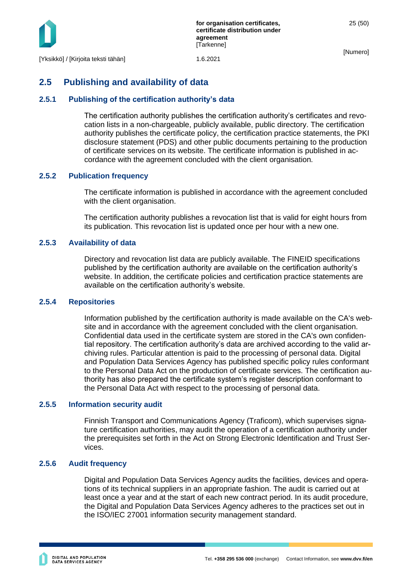

25 (50)

# <span id="page-25-0"></span>**2.5 Publishing and availability of data**

### <span id="page-25-1"></span>**2.5.1 Publishing of the certification authority's data**

The certification authority publishes the certification authority's certificates and revocation lists in a non-chargeable, publicly available, public directory. The certification authority publishes the certificate policy, the certification practice statements, the PKI disclosure statement (PDS) and other public documents pertaining to the production of certificate services on its website. The certificate information is published in accordance with the agreement concluded with the client organisation.

#### <span id="page-25-2"></span>**2.5.2 Publication frequency**

The certificate information is published in accordance with the agreement concluded with the client organisation.

The certification authority publishes a revocation list that is valid for eight hours from its publication. This revocation list is updated once per hour with a new one.

#### <span id="page-25-3"></span>**2.5.3 Availability of data**

Directory and revocation list data are publicly available. The FINEID specifications published by the certification authority are available on the certification authority's website. In addition, the certificate policies and certification practice statements are available on the certification authority's website.

#### <span id="page-25-4"></span>**2.5.4 Repositories**

Information published by the certification authority is made available on the CA's website and in accordance with the agreement concluded with the client organisation. Confidential data used in the certificate system are stored in the CA's own confidential repository. The certification authority's data are archived according to the valid archiving rules. Particular attention is paid to the processing of personal data. Digital and Population Data Services Agency has published specific policy rules conformant to the Personal Data Act on the production of certificate services. The certification authority has also prepared the certificate system's register description conformant to the Personal Data Act with respect to the processing of personal data.

#### <span id="page-25-5"></span>**2.5.5 Information security audit**

Finnish Transport and Communications Agency (Traficom), which supervises signature certification authorities, may audit the operation of a certification authority under the prerequisites set forth in the Act on Strong Electronic Identification and Trust Services.

#### <span id="page-25-6"></span>**2.5.6 Audit frequency**

Digital and Population Data Services Agency audits the facilities, devices and operations of its technical suppliers in an appropriate fashion. The audit is carried out at least once a year and at the start of each new contract period. In its audit procedure, the Digital and Population Data Services Agency adheres to the practices set out in the ISO/IEC 27001 information security management standard.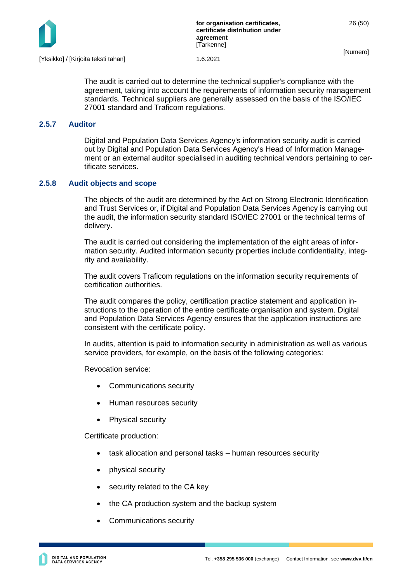

The audit is carried out to determine the technical supplier's compliance with the agreement, taking into account the requirements of information security management standards. Technical suppliers are generally assessed on the basis of the ISO/IEC 27001 standard and Traficom regulations.

# <span id="page-26-0"></span>**2.5.7 Auditor**

Digital and Population Data Services Agency's information security audit is carried out by Digital and Population Data Services Agency's Head of Information Management or an external auditor specialised in auditing technical vendors pertaining to certificate services.

# <span id="page-26-1"></span>**2.5.8 Audit objects and scope**

The objects of the audit are determined by the Act on Strong Electronic Identification and Trust Services or, if Digital and Population Data Services Agency is carrying out the audit, the information security standard ISO/IEC 27001 or the technical terms of delivery.

The audit is carried out considering the implementation of the eight areas of information security. Audited information security properties include confidentiality, integrity and availability.

The audit covers Traficom regulations on the information security requirements of certification authorities.

The audit compares the policy, certification practice statement and application instructions to the operation of the entire certificate organisation and system. Digital and Population Data Services Agency ensures that the application instructions are consistent with the certificate policy.

In audits, attention is paid to information security in administration as well as various service providers, for example, on the basis of the following categories:

Revocation service:

- Communications security
- Human resources security
- Physical security

Certificate production:

- task allocation and personal tasks human resources security
- physical security
- security related to the CA key
- the CA production system and the backup system
- Communications security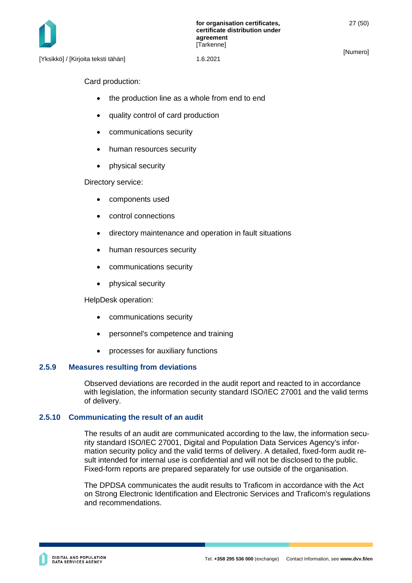Card production:

- the production line as a whole from end to end
- quality control of card production
- communications security
- human resources security
- physical security

Directory service:

- components used
- control connections
- directory maintenance and operation in fault situations
- human resources security
- communications security
- physical security

HelpDesk operation:

- communications security
- personnel's competence and training
- processes for auxiliary functions

#### <span id="page-27-0"></span>**2.5.9 Measures resulting from deviations**

Observed deviations are recorded in the audit report and reacted to in accordance with legislation, the information security standard ISO/IEC 27001 and the valid terms of delivery.

#### <span id="page-27-1"></span>**2.5.10 Communicating the result of an audit**

The results of an audit are communicated according to the law, the information security standard ISO/IEC 27001, Digital and Population Data Services Agency's information security policy and the valid terms of delivery. A detailed, fixed-form audit result intended for internal use is confidential and will not be disclosed to the public. Fixed-form reports are prepared separately for use outside of the organisation.

The DPDSA communicates the audit results to Traficom in accordance with the Act on Strong Electronic Identification and Electronic Services and Traficom's regulations and recommendations.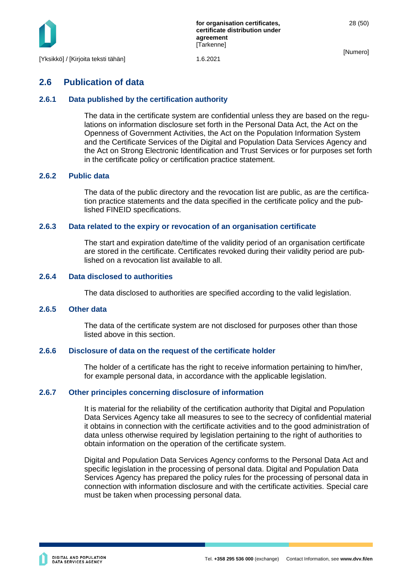

### <span id="page-28-0"></span>**2.6 Publication of data**

#### <span id="page-28-1"></span>**2.6.1 Data published by the certification authority**

The data in the certificate system are confidential unless they are based on the regulations on information disclosure set forth in the Personal Data Act, the Act on the Openness of Government Activities, the Act on the Population Information System and the Certificate Services of the Digital and Population Data Services Agency and the Act on Strong Electronic Identification and Trust Services or for purposes set forth in the certificate policy or certification practice statement.

#### <span id="page-28-2"></span>**2.6.2 Public data**

The data of the public directory and the revocation list are public, as are the certification practice statements and the data specified in the certificate policy and the published FINEID specifications.

#### <span id="page-28-3"></span>**2.6.3 Data related to the expiry or revocation of an organisation certificate**

The start and expiration date/time of the validity period of an organisation certificate are stored in the certificate. Certificates revoked during their validity period are published on a revocation list available to all.

#### <span id="page-28-4"></span>**2.6.4 Data disclosed to authorities**

The data disclosed to authorities are specified according to the valid legislation.

#### <span id="page-28-5"></span>**2.6.5 Other data**

The data of the certificate system are not disclosed for purposes other than those listed above in this section.

#### <span id="page-28-6"></span>**2.6.6 Disclosure of data on the request of the certificate holder**

The holder of a certificate has the right to receive information pertaining to him/her, for example personal data, in accordance with the applicable legislation.

#### <span id="page-28-7"></span>**2.6.7 Other principles concerning disclosure of information**

It is material for the reliability of the certification authority that Digital and Population Data Services Agency take all measures to see to the secrecy of confidential material it obtains in connection with the certificate activities and to the good administration of data unless otherwise required by legislation pertaining to the right of authorities to obtain information on the operation of the certificate system.

Digital and Population Data Services Agency conforms to the Personal Data Act and specific legislation in the processing of personal data. Digital and Population Data Services Agency has prepared the policy rules for the processing of personal data in connection with information disclosure and with the certificate activities. Special care must be taken when processing personal data.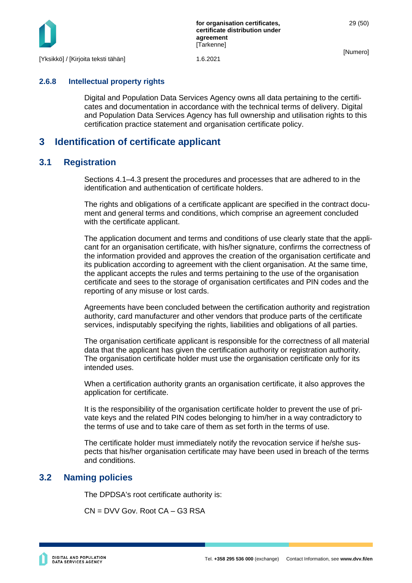

#### <span id="page-29-0"></span>**2.6.8 Intellectual property rights**

Digital and Population Data Services Agency owns all data pertaining to the certificates and documentation in accordance with the technical terms of delivery. Digital and Population Data Services Agency has full ownership and utilisation rights to this certification practice statement and organisation certificate policy.

# <span id="page-29-1"></span>**3 Identification of certificate applicant**

### <span id="page-29-2"></span>**3.1 Registration**

Sections 4.1–4.3 present the procedures and processes that are adhered to in the identification and authentication of certificate holders.

The rights and obligations of a certificate applicant are specified in the contract document and general terms and conditions, which comprise an agreement concluded with the certificate applicant.

The application document and terms and conditions of use clearly state that the applicant for an organisation certificate, with his/her signature, confirms the correctness of the information provided and approves the creation of the organisation certificate and its publication according to agreement with the client organisation. At the same time, the applicant accepts the rules and terms pertaining to the use of the organisation certificate and sees to the storage of organisation certificates and PIN codes and the reporting of any misuse or lost cards.

Agreements have been concluded between the certification authority and registration authority, card manufacturer and other vendors that produce parts of the certificate services, indisputably specifying the rights, liabilities and obligations of all parties.

The organisation certificate applicant is responsible for the correctness of all material data that the applicant has given the certification authority or registration authority. The organisation certificate holder must use the organisation certificate only for its intended uses.

When a certification authority grants an organisation certificate, it also approves the application for certificate.

It is the responsibility of the organisation certificate holder to prevent the use of private keys and the related PIN codes belonging to him/her in a way contradictory to the terms of use and to take care of them as set forth in the terms of use.

The certificate holder must immediately notify the revocation service if he/she suspects that his/her organisation certificate may have been used in breach of the terms and conditions.

### <span id="page-29-3"></span>**3.2 Naming policies**

The DPDSA's root certificate authority is:

CN = DVV Gov. Root CA – G3 RSA

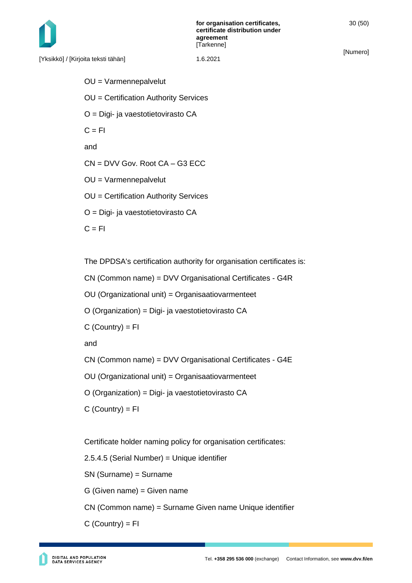[Yksikkö] / [Kirjoita teksti tähän] 1.6.2021

[Numero]

OU = Varmennepalvelut OU = Certification Authority Services O = Digi- ja vaestotietovirasto CA  $C = FI$ and CN = DVV Gov. Root CA – G3 ECC OU = Varmennepalvelut OU = Certification Authority Services O = Digi- ja vaestotietovirasto CA  $C = FI$ 

The DPDSA's certification authority for organisation certificates is:

CN (Common name) = DVV Organisational Certificates - G4R

OU (Organizational unit) = Organisaatiovarmenteet

O (Organization) = Digi- ja vaestotietovirasto CA

 $C$  (Country) =  $FI$ 

and

CN (Common name) = DVV Organisational Certificates - G4E

OU (Organizational unit) = Organisaatiovarmenteet

O (Organization) = Digi- ja vaestotietovirasto CA

 $C$  (Country) =  $FI$ 

Certificate holder naming policy for organisation certificates:

2.5.4.5 (Serial Number) = Unique identifier

SN (Surname) = Surname

G (Given name) = Given name

CN (Common name) = Surname Given name Unique identifier

 $C$  (Country) =  $FI$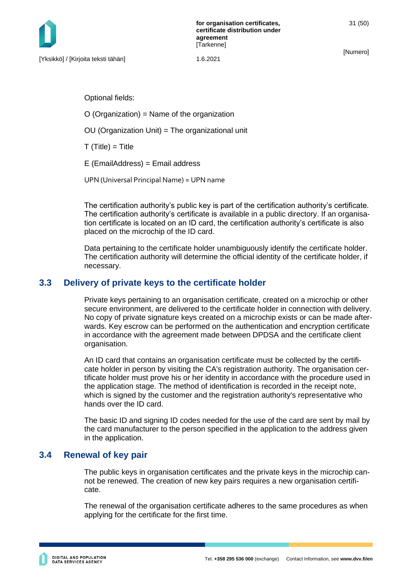Optional fields:

O (Organization) = Name of the organization

OU (Organization Unit) = The organizational unit

 $T(Title) = Title$ 

E (EmailAddress) = Email address

UPN (Universal Principal Name) = UPN name

The certification authority's public key is part of the certification authority's certificate. The certification authority's certificate is available in a public directory. If an organisation certificate is located on an ID card, the certification authority's certificate is also placed on the microchip of the ID card.

Data pertaining to the certificate holder unambiguously identify the certificate holder. The certification authority will determine the official identity of the certificate holder, if necessary.

# <span id="page-31-0"></span>**3.3 Delivery of private keys to the certificate holder**

Private keys pertaining to an organisation certificate, created on a microchip or other secure environment, are delivered to the certificate holder in connection with delivery. No copy of private signature keys created on a microchip exists or can be made afterwards. Key escrow can be performed on the authentication and encryption certificate in accordance with the agreement made between DPDSA and the certificate client organisation.

An ID card that contains an organisation certificate must be collected by the certificate holder in person by visiting the CA's registration authority. The organisation certificate holder must prove his or her identity in accordance with the procedure used in the application stage. The method of identification is recorded in the receipt note, which is signed by the customer and the registration authority's representative who hands over the ID card.

The basic ID and signing ID codes needed for the use of the card are sent by mail by the card manufacturer to the person specified in the application to the address given in the application.

# <span id="page-31-1"></span>**3.4 Renewal of key pair**

The public keys in organisation certificates and the private keys in the microchip cannot be renewed. The creation of new key pairs requires a new organisation certificate.

The renewal of the organisation certificate adheres to the same procedures as when applying for the certificate for the first time.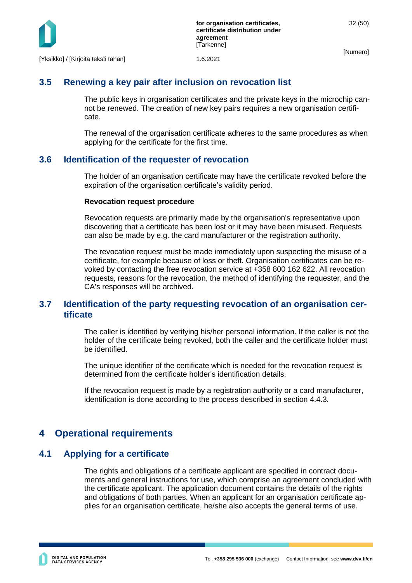

# <span id="page-32-0"></span>**3.5 Renewing a key pair after inclusion on revocation list**

The public keys in organisation certificates and the private keys in the microchip cannot be renewed. The creation of new key pairs requires a new organisation certificate.

The renewal of the organisation certificate adheres to the same procedures as when applying for the certificate for the first time.

# <span id="page-32-1"></span>**3.6 Identification of the requester of revocation**

The holder of an organisation certificate may have the certificate revoked before the expiration of the organisation certificate's validity period.

#### **Revocation request procedure**

Revocation requests are primarily made by the organisation's representative upon discovering that a certificate has been lost or it may have been misused. Requests can also be made by e.g. the card manufacturer or the registration authority.

The revocation request must be made immediately upon suspecting the misuse of a certificate, for example because of loss or theft. Organisation certificates can be revoked by contacting the free revocation service at +358 800 162 622. All revocation requests, reasons for the revocation, the method of identifying the requester, and the CA's responses will be archived.

# <span id="page-32-2"></span>**3.7 Identification of the party requesting revocation of an organisation certificate**

The caller is identified by verifying his/her personal information. If the caller is not the holder of the certificate being revoked, both the caller and the certificate holder must be identified.

The unique identifier of the certificate which is needed for the revocation request is determined from the certificate holder's identification details.

If the revocation request is made by a registration authority or a card manufacturer, identification is done according to the process described in section 4.4.3.

# <span id="page-32-3"></span>**4 Operational requirements**

# <span id="page-32-4"></span>**4.1 Applying for a certificate**

The rights and obligations of a certificate applicant are specified in contract documents and general instructions for use, which comprise an agreement concluded with the certificate applicant. The application document contains the details of the rights and obligations of both parties. When an applicant for an organisation certificate applies for an organisation certificate, he/she also accepts the general terms of use.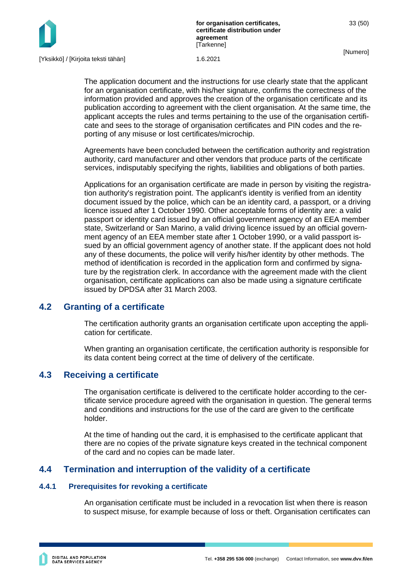

**for organisation certificates, certificate distribution under agreement [Tarkenne]** 

[Numero]

The application document and the instructions for use clearly state that the applicant for an organisation certificate, with his/her signature, confirms the correctness of the information provided and approves the creation of the organisation certificate and its publication according to agreement with the client organisation. At the same time, the applicant accepts the rules and terms pertaining to the use of the organisation certificate and sees to the storage of organisation certificates and PIN codes and the reporting of any misuse or lost certificates/microchip.

Agreements have been concluded between the certification authority and registration authority, card manufacturer and other vendors that produce parts of the certificate services, indisputably specifying the rights, liabilities and obligations of both parties.

Applications for an organisation certificate are made in person by visiting the registration authority's registration point. The applicant's identity is verified from an identity document issued by the police, which can be an identity card, a passport, or a driving licence issued after 1 October 1990. Other acceptable forms of identity are: a valid passport or identity card issued by an official government agency of an EEA member state, Switzerland or San Marino, a valid driving licence issued by an official government agency of an EEA member state after 1 October 1990, or a valid passport issued by an official government agency of another state. If the applicant does not hold any of these documents, the police will verify his/her identity by other methods. The method of identification is recorded in the application form and confirmed by signature by the registration clerk. In accordance with the agreement made with the client organisation, certificate applications can also be made using a signature certificate issued by DPDSA after 31 March 2003.

### <span id="page-33-0"></span>**4.2 Granting of a certificate**

The certification authority grants an organisation certificate upon accepting the application for certificate.

When granting an organisation certificate, the certification authority is responsible for its data content being correct at the time of delivery of the certificate.

### <span id="page-33-1"></span>**4.3 Receiving a certificate**

The organisation certificate is delivered to the certificate holder according to the certificate service procedure agreed with the organisation in question. The general terms and conditions and instructions for the use of the card are given to the certificate holder.

At the time of handing out the card, it is emphasised to the certificate applicant that there are no copies of the private signature keys created in the technical component of the card and no copies can be made later.

# <span id="page-33-2"></span>**4.4 Termination and interruption of the validity of a certificate**

#### <span id="page-33-3"></span>**4.4.1 Prerequisites for revoking a certificate**

An organisation certificate must be included in a revocation list when there is reason to suspect misuse, for example because of loss or theft. Organisation certificates can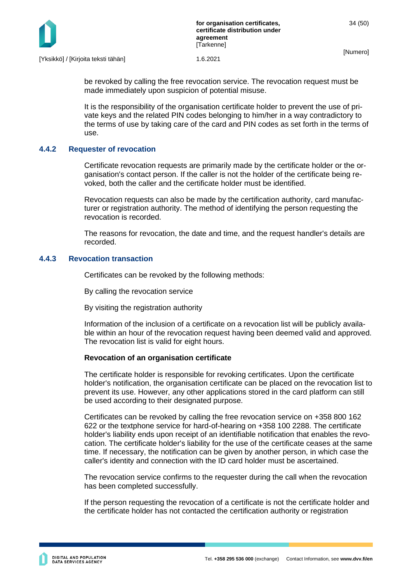

be revoked by calling the free revocation service. The revocation request must be made immediately upon suspicion of potential misuse.

It is the responsibility of the organisation certificate holder to prevent the use of private keys and the related PIN codes belonging to him/her in a way contradictory to the terms of use by taking care of the card and PIN codes as set forth in the terms of use.

#### <span id="page-34-0"></span>**4.4.2 Requester of revocation**

Certificate revocation requests are primarily made by the certificate holder or the organisation's contact person. If the caller is not the holder of the certificate being revoked, both the caller and the certificate holder must be identified.

Revocation requests can also be made by the certification authority, card manufacturer or registration authority. The method of identifying the person requesting the revocation is recorded.

The reasons for revocation, the date and time, and the request handler's details are recorded.

#### <span id="page-34-1"></span>**4.4.3 Revocation transaction**

Certificates can be revoked by the following methods:

By calling the revocation service

By visiting the registration authority

Information of the inclusion of a certificate on a revocation list will be publicly available within an hour of the revocation request having been deemed valid and approved. The revocation list is valid for eight hours.

#### **Revocation of an organisation certificate**

The certificate holder is responsible for revoking certificates. Upon the certificate holder's notification, the organisation certificate can be placed on the revocation list to prevent its use. However, any other applications stored in the card platform can still be used according to their designated purpose.

Certificates can be revoked by calling the free revocation service on +358 800 162 622 or the textphone service for hard-of-hearing on +358 100 2288. The certificate holder's liability ends upon receipt of an identifiable notification that enables the revocation. The certificate holder's liability for the use of the certificate ceases at the same time. If necessary, the notification can be given by another person, in which case the caller's identity and connection with the ID card holder must be ascertained.

The revocation service confirms to the requester during the call when the revocation has been completed successfully.

If the person requesting the revocation of a certificate is not the certificate holder and the certificate holder has not contacted the certification authority or registration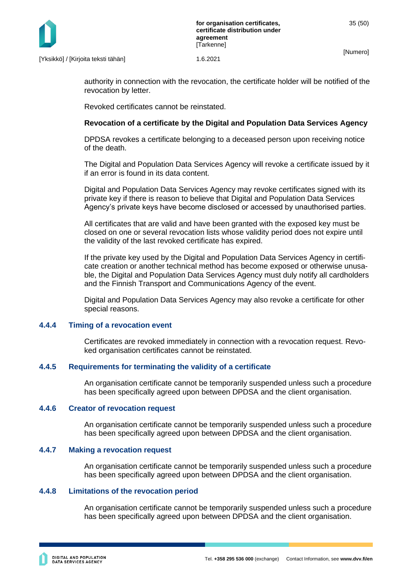

[Yksikkö] / [Kirjoita teksti tähän] 1.6.2021

authority in connection with the revocation, the certificate holder will be notified of the revocation by letter.

Revoked certificates cannot be reinstated.

#### **Revocation of a certificate by the Digital and Population Data Services Agency**

DPDSA revokes a certificate belonging to a deceased person upon receiving notice of the death.

The Digital and Population Data Services Agency will revoke a certificate issued by it if an error is found in its data content.

Digital and Population Data Services Agency may revoke certificates signed with its private key if there is reason to believe that Digital and Population Data Services Agency's private keys have become disclosed or accessed by unauthorised parties.

All certificates that are valid and have been granted with the exposed key must be closed on one or several revocation lists whose validity period does not expire until the validity of the last revoked certificate has expired.

If the private key used by the Digital and Population Data Services Agency in certificate creation or another technical method has become exposed or otherwise unusable, the Digital and Population Data Services Agency must duly notify all cardholders and the Finnish Transport and Communications Agency of the event.

Digital and Population Data Services Agency may also revoke a certificate for other special reasons.

#### <span id="page-35-0"></span>**4.4.4 Timing of a revocation event**

Certificates are revoked immediately in connection with a revocation request. Revoked organisation certificates cannot be reinstated.

#### <span id="page-35-1"></span>**4.4.5 Requirements for terminating the validity of a certificate**

An organisation certificate cannot be temporarily suspended unless such a procedure has been specifically agreed upon between DPDSA and the client organisation.

#### <span id="page-35-2"></span>**4.4.6 Creator of revocation request**

An organisation certificate cannot be temporarily suspended unless such a procedure has been specifically agreed upon between DPDSA and the client organisation.

#### <span id="page-35-3"></span>**4.4.7 Making a revocation request**

An organisation certificate cannot be temporarily suspended unless such a procedure has been specifically agreed upon between DPDSA and the client organisation.

#### <span id="page-35-4"></span>**4.4.8 Limitations of the revocation period**

An organisation certificate cannot be temporarily suspended unless such a procedure has been specifically agreed upon between DPDSA and the client organisation.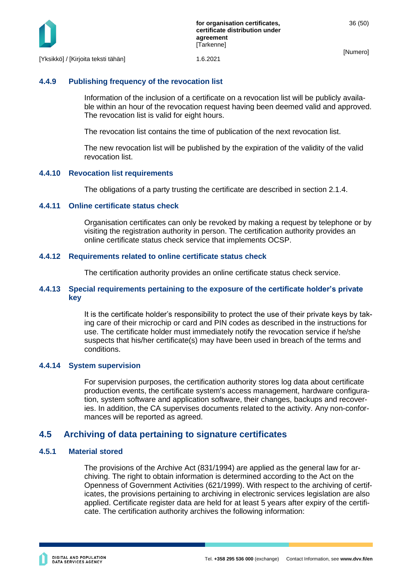

[Yksikkö] / [Kirjoita teksti tähän] 1.6.2021

### <span id="page-36-0"></span>**4.4.9 Publishing frequency of the revocation list**

Information of the inclusion of a certificate on a revocation list will be publicly available within an hour of the revocation request having been deemed valid and approved. The revocation list is valid for eight hours.

The revocation list contains the time of publication of the next revocation list.

The new revocation list will be published by the expiration of the validity of the valid revocation list.

#### <span id="page-36-1"></span>**4.4.10 Revocation list requirements**

The obligations of a party trusting the certificate are described in section 2.1.4.

#### <span id="page-36-2"></span>**4.4.11 Online certificate status check**

Organisation certificates can only be revoked by making a request by telephone or by visiting the registration authority in person. The certification authority provides an online certificate status check service that implements OCSP.

#### <span id="page-36-3"></span>**4.4.12 Requirements related to online certificate status check**

The certification authority provides an online certificate status check service.

#### <span id="page-36-4"></span>**4.4.13 Special requirements pertaining to the exposure of the certificate holder's private key**

It is the certificate holder's responsibility to protect the use of their private keys by taking care of their microchip or card and PIN codes as described in the instructions for use. The certificate holder must immediately notify the revocation service if he/she suspects that his/her certificate(s) may have been used in breach of the terms and conditions.

#### <span id="page-36-5"></span>**4.4.14 System supervision**

For supervision purposes, the certification authority stores log data about certificate production events, the certificate system's access management, hardware configuration, system software and application software, their changes, backups and recoveries. In addition, the CA supervises documents related to the activity. Any non-conformances will be reported as agreed.

### <span id="page-36-6"></span>**4.5 Archiving of data pertaining to signature certificates**

### <span id="page-36-7"></span>**4.5.1 Material stored**

The provisions of the Archive Act (831/1994) are applied as the general law for archiving. The right to obtain information is determined according to the Act on the Openness of Government Activities (621/1999). With respect to the archiving of certificates, the provisions pertaining to archiving in electronic services legislation are also applied. Certificate register data are held for at least 5 years after expiry of the certificate. The certification authority archives the following information: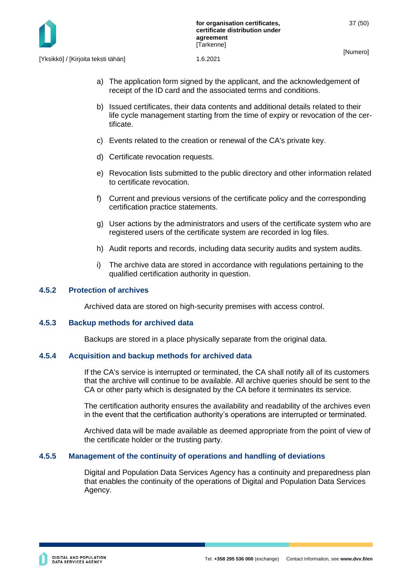

- a) The application form signed by the applicant, and the acknowledgement of receipt of the ID card and the associated terms and conditions.
- b) Issued certificates, their data contents and additional details related to their life cycle management starting from the time of expiry or revocation of the certificate.
- c) Events related to the creation or renewal of the CA's private key.
- d) Certificate revocation requests.
- e) Revocation lists submitted to the public directory and other information related to certificate revocation.
- f) Current and previous versions of the certificate policy and the corresponding certification practice statements.
- g) User actions by the administrators and users of the certificate system who are registered users of the certificate system are recorded in log files.
- h) Audit reports and records, including data security audits and system audits.
- i) The archive data are stored in accordance with regulations pertaining to the qualified certification authority in question.

#### <span id="page-37-0"></span>**4.5.2 Protection of archives**

Archived data are stored on high-security premises with access control.

#### <span id="page-37-1"></span>**4.5.3 Backup methods for archived data**

Backups are stored in a place physically separate from the original data.

#### <span id="page-37-2"></span>**4.5.4 Acquisition and backup methods for archived data**

If the CA's service is interrupted or terminated, the CA shall notify all of its customers that the archive will continue to be available. All archive queries should be sent to the CA or other party which is designated by the CA before it terminates its service.

The certification authority ensures the availability and readability of the archives even in the event that the certification authority's operations are interrupted or terminated.

Archived data will be made available as deemed appropriate from the point of view of the certificate holder or the trusting party.

#### <span id="page-37-3"></span>**4.5.5 Management of the continuity of operations and handling of deviations**

Digital and Population Data Services Agency has a continuity and preparedness plan that enables the continuity of the operations of Digital and Population Data Services Agency.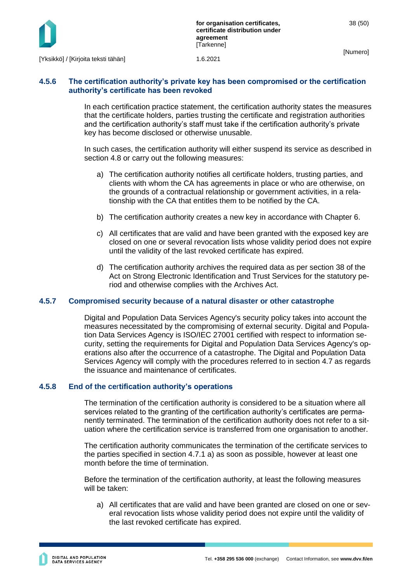

#### <span id="page-38-0"></span>**4.5.6 The certification authority's private key has been compromised or the certification authority's certificate has been revoked**

In each certification practice statement, the certification authority states the measures that the certificate holders, parties trusting the certificate and registration authorities and the certification authority's staff must take if the certification authority's private key has become disclosed or otherwise unusable.

In such cases, the certification authority will either suspend its service as described in section 4.8 or carry out the following measures:

- a) The certification authority notifies all certificate holders, trusting parties, and clients with whom the CA has agreements in place or who are otherwise, on the grounds of a contractual relationship or government activities, in a relationship with the CA that entitles them to be notified by the CA.
- b) The certification authority creates a new key in accordance with Chapter 6.
- c) All certificates that are valid and have been granted with the exposed key are closed on one or several revocation lists whose validity period does not expire until the validity of the last revoked certificate has expired.
- d) The certification authority archives the required data as per section 38 of the Act on Strong Electronic Identification and Trust Services for the statutory period and otherwise complies with the Archives Act.

#### <span id="page-38-1"></span>**4.5.7 Compromised security because of a natural disaster or other catastrophe**

Digital and Population Data Services Agency's security policy takes into account the measures necessitated by the compromising of external security. Digital and Population Data Services Agency is ISO/IEC 27001 certified with respect to information security, setting the requirements for Digital and Population Data Services Agency's operations also after the occurrence of a catastrophe. The Digital and Population Data Services Agency will comply with the procedures referred to in section 4.7 as regards the issuance and maintenance of certificates.

#### <span id="page-38-2"></span>**4.5.8 End of the ce**r**tification authority's operations**

The termination of the certification authority is considered to be a situation where all services related to the granting of the certification authority's certificates are permanently terminated. The termination of the certification authority does not refer to a situation where the certification service is transferred from one organisation to another.

The certification authority communicates the termination of the certificate services to the parties specified in section 4.7.1 a) as soon as possible, however at least one month before the time of termination.

Before the termination of the certification authority, at least the following measures will be taken:

a) All certificates that are valid and have been granted are closed on one or several revocation lists whose validity period does not expire until the validity of the last revoked certificate has expired.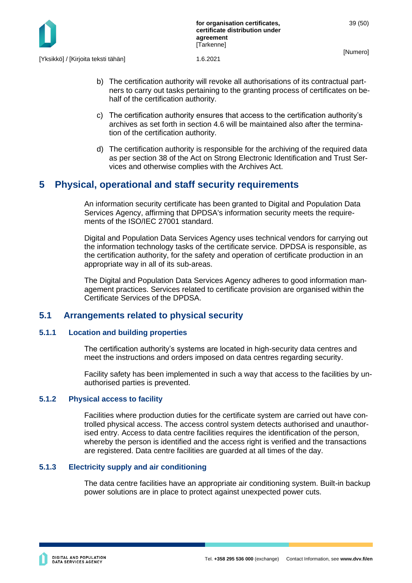

- b) The certification authority will revoke all authorisations of its contractual partners to carry out tasks pertaining to the granting process of certificates on behalf of the certification authority.
- c) The certification authority ensures that access to the certification authority's archives as set forth in section 4.6 will be maintained also after the termination of the certification authority.
- d) The certification authority is responsible for the archiving of the required data as per section 38 of the Act on Strong Electronic Identification and Trust Services and otherwise complies with the Archives Act.

# <span id="page-39-0"></span>**5 Physical, operational and staff security requirements**

An information security certificate has been granted to Digital and Population Data Services Agency, affirming that DPDSA's information security meets the requirements of the ISO/IEC 27001 standard.

Digital and Population Data Services Agency uses technical vendors for carrying out the information technology tasks of the certificate service. DPDSA is responsible, as the certification authority, for the safety and operation of certificate production in an appropriate way in all of its sub-areas.

The Digital and Population Data Services Agency adheres to good information management practices. Services related to certificate provision are organised within the Certificate Services of the DPDSA.

# <span id="page-39-1"></span>**5.1 Arrangements related to physical security**

#### <span id="page-39-2"></span>**5.1.1 Location and building properties**

The certification authority's systems are located in high-security data centres and meet the instructions and orders imposed on data centres regarding security.

Facility safety has been implemented in such a way that access to the facilities by unauthorised parties is prevented.

#### <span id="page-39-3"></span>**5.1.2 Physical access to facility**

Facilities where production duties for the certificate system are carried out have controlled physical access. The access control system detects authorised and unauthorised entry. Access to data centre facilities requires the identification of the person, whereby the person is identified and the access right is verified and the transactions are registered. Data centre facilities are guarded at all times of the day.

#### <span id="page-39-4"></span>**5.1.3 Electricity supply and air conditioning**

The data centre facilities have an appropriate air conditioning system. Built-in backup power solutions are in place to protect against unexpected power cuts.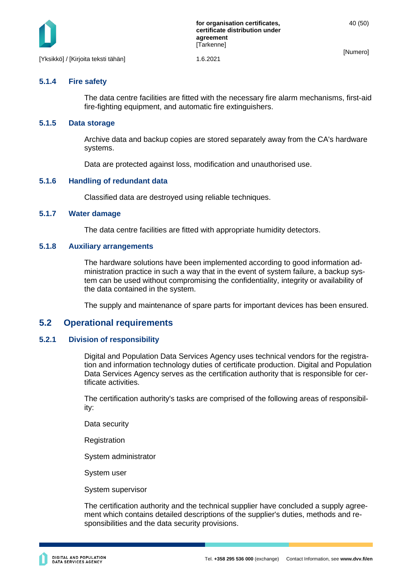

#### <span id="page-40-0"></span>**5.1.4 Fire safety**

The data centre facilities are fitted with the necessary fire alarm mechanisms, first-aid fire-fighting equipment, and automatic fire extinguishers.

#### <span id="page-40-1"></span>**5.1.5 Data storage**

Archive data and backup copies are stored separately away from the CA's hardware systems.

Data are protected against loss, modification and unauthorised use.

#### <span id="page-40-2"></span>**5.1.6 Handling of redundant data**

Classified data are destroyed using reliable techniques.

#### <span id="page-40-3"></span>**5.1.7 Water damage**

The data centre facilities are fitted with appropriate humidity detectors.

#### <span id="page-40-4"></span>**5.1.8 Auxiliary arrangements**

The hardware solutions have been implemented according to good information administration practice in such a way that in the event of system failure, a backup system can be used without compromising the confidentiality, integrity or availability of the data contained in the system.

The supply and maintenance of spare parts for important devices has been ensured.

### <span id="page-40-5"></span>**5.2 Operational requirements**

#### <span id="page-40-6"></span>**5.2.1 Division of responsibility**

Digital and Population Data Services Agency uses technical vendors for the registration and information technology duties of certificate production. Digital and Population Data Services Agency serves as the certification authority that is responsible for certificate activities.

The certification authority's tasks are comprised of the following areas of responsibility:

Data security

Registration

System administrator

System user

System supervisor

The certification authority and the technical supplier have concluded a supply agreement which contains detailed descriptions of the supplier's duties, methods and responsibilities and the data security provisions.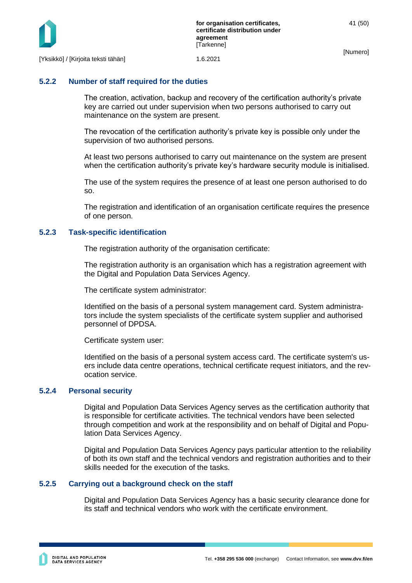

#### <span id="page-41-0"></span>**5.2.2 Number of staff required for the duties**

The creation, activation, backup and recovery of the certification authority's private key are carried out under supervision when two persons authorised to carry out maintenance on the system are present.

The revocation of the certification authority's private key is possible only under the supervision of two authorised persons.

At least two persons authorised to carry out maintenance on the system are present when the certification authority's private key's hardware security module is initialised.

The use of the system requires the presence of at least one person authorised to do so.

The registration and identification of an organisation certificate requires the presence of one person.

#### <span id="page-41-1"></span>**5.2.3 Task-specific identification**

The registration authority of the organisation certificate:

The registration authority is an organisation which has a registration agreement with the Digital and Population Data Services Agency.

The certificate system administrator:

Identified on the basis of a personal system management card. System administrators include the system specialists of the certificate system supplier and authorised personnel of DPDSA.

Certificate system user:

Identified on the basis of a personal system access card. The certificate system's users include data centre operations, technical certificate request initiators, and the revocation service.

#### <span id="page-41-2"></span>**5.2.4 Personal security**

Digital and Population Data Services Agency serves as the certification authority that is responsible for certificate activities. The technical vendors have been selected through competition and work at the responsibility and on behalf of Digital and Population Data Services Agency.

Digital and Population Data Services Agency pays particular attention to the reliability of both its own staff and the technical vendors and registration authorities and to their skills needed for the execution of the tasks.

#### <span id="page-41-3"></span>**5.2.5 Carrying out a background check on the staff**

Digital and Population Data Services Agency has a basic security clearance done for its staff and technical vendors who work with the certificate environment.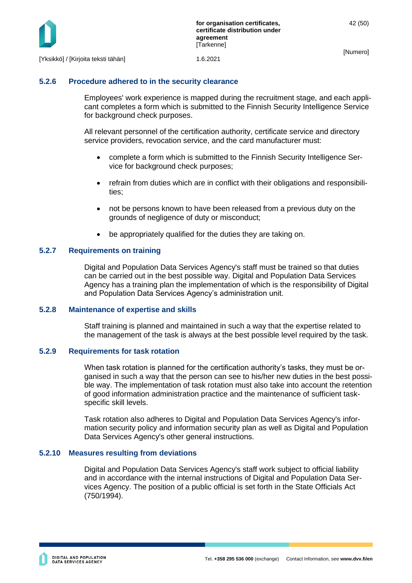

### <span id="page-42-0"></span>**5.2.6 Procedure adhered to in the security clearance**

Employees' work experience is mapped during the recruitment stage, and each applicant completes a form which is submitted to the Finnish Security Intelligence Service for background check purposes.

All relevant personnel of the certification authority, certificate service and directory service providers, revocation service, and the card manufacturer must:

- complete a form which is submitted to the Finnish Security Intelligence Service for background check purposes;
- refrain from duties which are in conflict with their obligations and responsibilities;
- not be persons known to have been released from a previous duty on the grounds of negligence of duty or misconduct;
- be appropriately qualified for the duties they are taking on.

#### <span id="page-42-1"></span>**5.2.7 Requirements on training**

Digital and Population Data Services Agency's staff must be trained so that duties can be carried out in the best possible way. Digital and Population Data Services Agency has a training plan the implementation of which is the responsibility of Digital and Population Data Services Agency's administration unit.

#### <span id="page-42-2"></span>**5.2.8 Maintenance of expertise and skills**

Staff training is planned and maintained in such a way that the expertise related to the management of the task is always at the best possible level required by the task.

#### <span id="page-42-3"></span>**5.2.9 Requirements for task rotation**

When task rotation is planned for the certification authority's tasks, they must be organised in such a way that the person can see to his/her new duties in the best possible way. The implementation of task rotation must also take into account the retention of good information administration practice and the maintenance of sufficient taskspecific skill levels.

Task rotation also adheres to Digital and Population Data Services Agency's information security policy and information security plan as well as Digital and Population Data Services Agency's other general instructions.

#### <span id="page-42-4"></span>**5.2.10 Measures resulting from deviations**

Digital and Population Data Services Agency's staff work subject to official liability and in accordance with the internal instructions of Digital and Population Data Services Agency. The position of a public official is set forth in the State Officials Act (750/1994).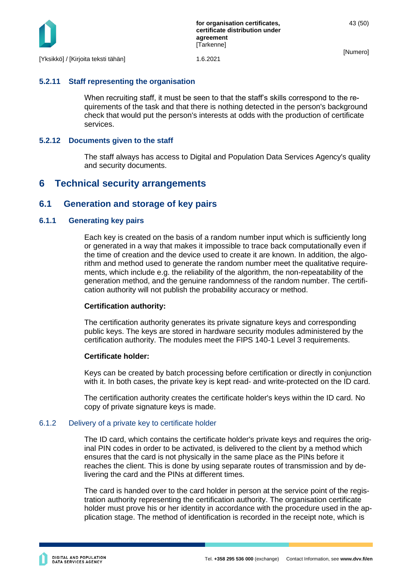

#### <span id="page-43-0"></span>**5.2.11 Staff representing the organisation**

When recruiting staff, it must be seen to that the staff's skills correspond to the requirements of the task and that there is nothing detected in the person's background check that would put the person's interests at odds with the production of certificate services.

#### <span id="page-43-1"></span>**5.2.12 Documents given to the staff**

The staff always has access to Digital and Population Data Services Agency's quality and security documents.

# <span id="page-43-2"></span>**6 Technical security arrangements**

### <span id="page-43-3"></span>**6.1 Generation and storage of key pairs**

#### <span id="page-43-4"></span>**6.1.1 Generating key pairs**

Each key is created on the basis of a random number input which is sufficiently long or generated in a way that makes it impossible to trace back computationally even if the time of creation and the device used to create it are known. In addition, the algorithm and method used to generate the random number meet the qualitative requirements, which include e.g. the reliability of the algorithm, the non-repeatability of the generation method, and the genuine randomness of the random number. The certification authority will not publish the probability accuracy or method.

#### **Certification authority:**

The certification authority generates its private signature keys and corresponding public keys. The keys are stored in hardware security modules administered by the certification authority. The modules meet the FIPS 140-1 Level 3 requirements.

#### **Certificate holder:**

Keys can be created by batch processing before certification or directly in conjunction with it. In both cases, the private key is kept read- and write-protected on the ID card.

The certification authority creates the certificate holder's keys within the ID card. No copy of private signature keys is made.

#### <span id="page-43-5"></span>6.1.2 Delivery of a private key to certificate holder

The ID card, which contains the certificate holder's private keys and requires the original PIN codes in order to be activated, is delivered to the client by a method which ensures that the card is not physically in the same place as the PINs before it reaches the client. This is done by using separate routes of transmission and by delivering the card and the PINs at different times.

The card is handed over to the card holder in person at the service point of the registration authority representing the certification authority. The organisation certificate holder must prove his or her identity in accordance with the procedure used in the application stage. The method of identification is recorded in the receipt note, which is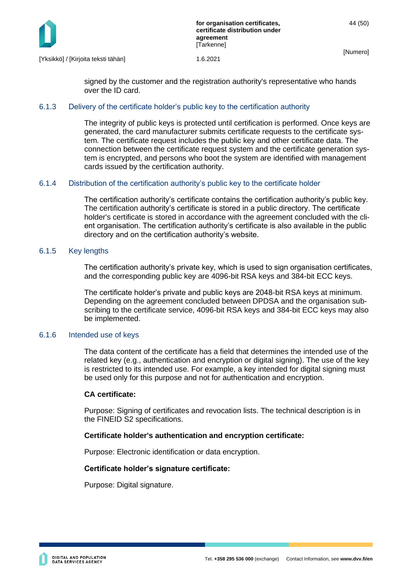

signed by the customer and the registration authority's representative who hands over the ID card.

#### <span id="page-44-0"></span>6.1.3 Delivery of the certificate holder's public key to the certification authority

The integrity of public keys is protected until certification is performed. Once keys are generated, the card manufacturer submits certificate requests to the certificate system. The certificate request includes the public key and other certificate data. The connection between the certificate request system and the certificate generation system is encrypted, and persons who boot the system are identified with management cards issued by the certification authority.

#### <span id="page-44-1"></span>6.1.4 Distribution of the certification authority's public key to the certificate holder

The certification authority's certificate contains the certification authority's public key. The certification authority's certificate is stored in a public directory. The certificate holder's certificate is stored in accordance with the agreement concluded with the client organisation. The certification authority's certificate is also available in the public directory and on the certification authority's website.

#### <span id="page-44-2"></span>6.1.5 Key lengths

The certification authority's private key, which is used to sign organisation certificates, and the corresponding public key are 4096-bit RSA keys and 384-bit ECC keys.

The certificate holder's private and public keys are 2048-bit RSA keys at minimum. Depending on the agreement concluded between DPDSA and the organisation subscribing to the certificate service, 4096-bit RSA keys and 384-bit ECC keys may also be implemented.

#### <span id="page-44-3"></span>6.1.6 Intended use of keys

The data content of the certificate has a field that determines the intended use of the related key (e.g., authentication and encryption or digital signing). The use of the key is restricted to its intended use. For example, a key intended for digital signing must be used only for this purpose and not for authentication and encryption.

#### **CA certificate:**

Purpose: Signing of certificates and revocation lists. The technical description is in the FINEID S2 specifications.

#### **Certificate holder's authentication and encryption certificate:**

Purpose: Electronic identification or data encryption.

#### **Certificate holder's signature certificate:**

Purpose: Digital signature.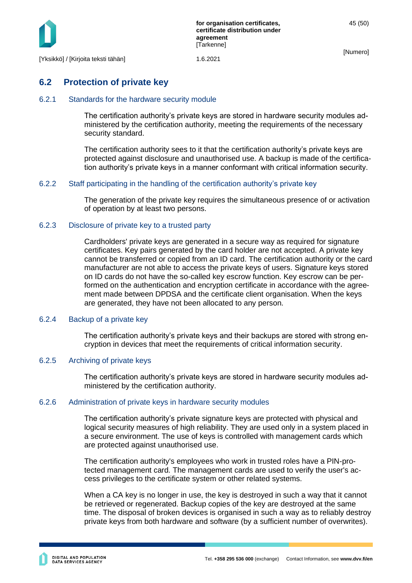

# <span id="page-45-0"></span>**6.2 Protection of private key**

#### <span id="page-45-1"></span>6.2.1 Standards for the hardware security module

The certification authority's private keys are stored in hardware security modules administered by the certification authority, meeting the requirements of the necessary security standard.

The certification authority sees to it that the certification authority's private keys are protected against disclosure and unauthorised use. A backup is made of the certification authority's private keys in a manner conformant with critical information security.

#### <span id="page-45-2"></span>6.2.2 Staff participating in the handling of the certification authority's private key

The generation of the private key requires the simultaneous presence of or activation of operation by at least two persons.

#### <span id="page-45-3"></span>6.2.3 Disclosure of private key to a trusted party

Cardholders' private keys are generated in a secure way as required for signature certificates. Key pairs generated by the card holder are not accepted. A private key cannot be transferred or copied from an ID card. The certification authority or the card manufacturer are not able to access the private keys of users. Signature keys stored on ID cards do not have the so-called key escrow function. Key escrow can be performed on the authentication and encryption certificate in accordance with the agreement made between DPDSA and the certificate client organisation. When the keys are generated, they have not been allocated to any person.

#### <span id="page-45-4"></span>6.2.4 Backup of a private key

The certification authority's private keys and their backups are stored with strong encryption in devices that meet the requirements of critical information security.

#### <span id="page-45-5"></span>6.2.5 Archiving of private keys

The certification authority's private keys are stored in hardware security modules administered by the certification authority.

#### <span id="page-45-6"></span>6.2.6 Administration of private keys in hardware security modules

The certification authority's private signature keys are protected with physical and logical security measures of high reliability. They are used only in a system placed in a secure environment. The use of keys is controlled with management cards which are protected against unauthorised use.

The certification authority's employees who work in trusted roles have a PIN-protected management card. The management cards are used to verify the user's access privileges to the certificate system or other related systems.

When a CA key is no longer in use, the key is destroyed in such a way that it cannot be retrieved or regenerated. Backup copies of the key are destroyed at the same time. The disposal of broken devices is organised in such a way as to reliably destroy private keys from both hardware and software (by a sufficient number of overwrites).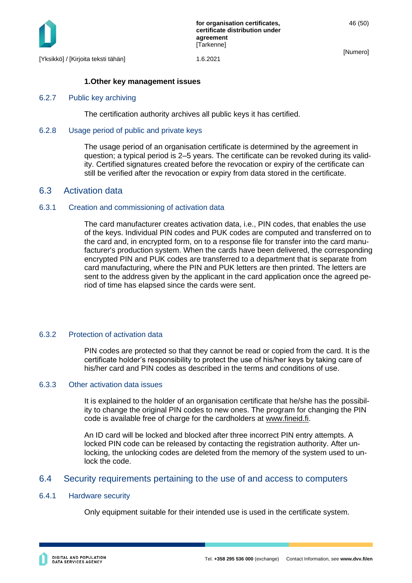

46 (50)

[Numero]

#### **1.Other key management issues**

#### <span id="page-46-0"></span>6.2.7 Public key archiving

The certification authority archives all public keys it has certified.

#### <span id="page-46-1"></span>6.2.8 Usage period of public and private keys

The usage period of an organisation certificate is determined by the agreement in question; a typical period is 2–5 years. The certificate can be revoked during its validity. Certified signatures created before the revocation or expiry of the certificate can still be verified after the revocation or expiry from data stored in the certificate.

### <span id="page-46-2"></span>6.3 Activation data

#### <span id="page-46-3"></span>6.3.1 Creation and commissioning of activation data

The card manufacturer creates activation data, i.e., PIN codes, that enables the use of the keys. Individual PIN codes and PUK codes are computed and transferred on to the card and, in encrypted form, on to a response file for transfer into the card manufacturer's production system. When the cards have been delivered, the corresponding encrypted PIN and PUK codes are transferred to a department that is separate from card manufacturing, where the PIN and PUK letters are then printed. The letters are sent to the address given by the applicant in the card application once the agreed period of time has elapsed since the cards were sent.

#### <span id="page-46-4"></span>6.3.2 Protection of activation data

PIN codes are protected so that they cannot be read or copied from the card. It is the certificate holder's responsibility to protect the use of his/her keys by taking care of his/her card and PIN codes as described in the terms and conditions of use.

#### <span id="page-46-5"></span>6.3.3 Other activation data issues

It is explained to the holder of an organisation certificate that he/she has the possibility to change the original PIN codes to new ones. The program for changing the PIN code is available free of charge for the cardholders at [www.fineid.fi.](http://www.fineid.fi/)

An ID card will be locked and blocked after three incorrect PIN entry attempts. A locked PIN code can be released by contacting the registration authority. After unlocking, the unlocking codes are deleted from the memory of the system used to unlock the code.

#### <span id="page-46-6"></span>6.4 Security requirements pertaining to the use of and access to computers

#### <span id="page-46-7"></span>6.4.1 Hardware security

Only equipment suitable for their intended use is used in the certificate system.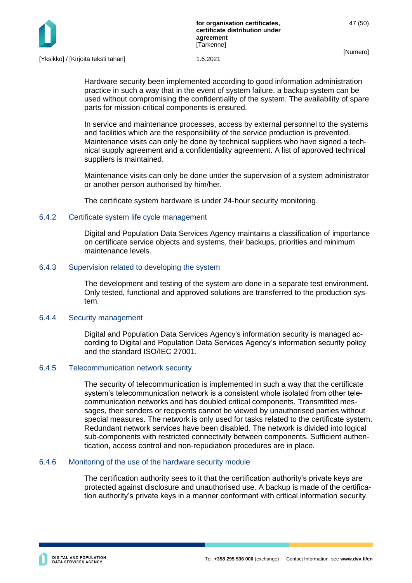

Hardware security been implemented according to good information administration practice in such a way that in the event of system failure, a backup system can be used without compromising the confidentiality of the system. The availability of spare parts for mission-critical components is ensured.

In service and maintenance processes, access by external personnel to the systems and facilities which are the responsibility of the service production is prevented. Maintenance visits can only be done by technical suppliers who have signed a technical supply agreement and a confidentiality agreement. A list of approved technical suppliers is maintained.

Maintenance visits can only be done under the supervision of a system administrator or another person authorised by him/her.

The certificate system hardware is under 24-hour security monitoring.

### <span id="page-47-0"></span>6.4.2 Certificate system life cycle management

Digital and Population Data Services Agency maintains a classification of importance on certificate service objects and systems, their backups, priorities and minimum maintenance levels.

#### <span id="page-47-1"></span>6.4.3 Supervision related to developing the system

The development and testing of the system are done in a separate test environment. Only tested, functional and approved solutions are transferred to the production system.

#### <span id="page-47-2"></span>6.4.4 Security management

Digital and Population Data Services Agency's information security is managed according to Digital and Population Data Services Agency's information security policy and the standard ISO/IEC 27001.

#### <span id="page-47-3"></span>6.4.5 Telecommunication network security

The security of telecommunication is implemented in such a way that the certificate system's telecommunication network is a consistent whole isolated from other telecommunication networks and has doubled critical components. Transmitted messages, their senders or recipients cannot be viewed by unauthorised parties without special measures. The network is only used for tasks related to the certificate system. Redundant network services have been disabled. The network is divided into logical sub-components with restricted connectivity between components. Sufficient authentication, access control and non-repudiation procedures are in place.

#### <span id="page-47-4"></span>6.4.6 Monitoring of the use of the hardware security module

The certification authority sees to it that the certification authority's private keys are protected against disclosure and unauthorised use. A backup is made of the certification authority's private keys in a manner conformant with critical information security.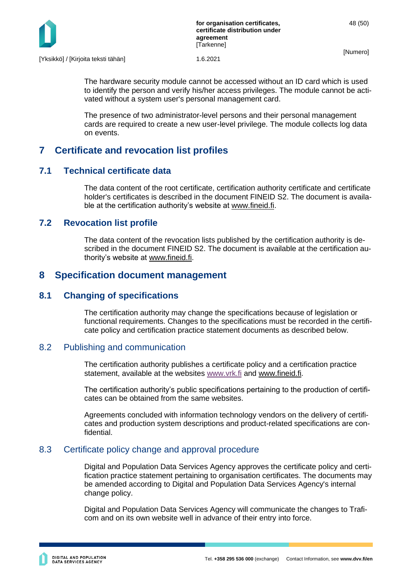

The hardware security module cannot be accessed without an ID card which is used to identify the person and verify his/her access privileges. The module cannot be activated without a system user's personal management card.

The presence of two administrator-level persons and their personal management cards are required to create a new user-level privilege. The module collects log data on events.

# <span id="page-48-0"></span>**7 Certificate and revocation list profiles**

# <span id="page-48-1"></span>**7.1 Technical certificate data**

The data content of the root certificate, certification authority certificate and certificate holder's certificates is described in the document FINEID S2. The document is available at the certification authority's website at [www.fineid.fi.](http://www.fineid.fi/)

# <span id="page-48-2"></span>**7.2 Revocation list profile**

The data content of the revocation lists published by the certification authority is described in the document FINEID S2. The document is available at the certification authority's website at [www.fineid.fi.](http://www.fineid.fi/)

# <span id="page-48-3"></span>**8 Specification document management**

# <span id="page-48-4"></span>**8.1 Changing of specifications**

The certification authority may change the specifications because of legislation or functional requirements. Changes to the specifications must be recorded in the certificate policy and certification practice statement documents as described below.

# <span id="page-48-5"></span>8.2 Publishing and communication

The certification authority publishes a certificate policy and a certification practice statement, available at the websites [www.vrk.fi](http://www.vrk.fi/) and [www.fineid.fi.](http://www.fineid.fi/)

The certification authority's public specifications pertaining to the production of certificates can be obtained from the same websites.

Agreements concluded with information technology vendors on the delivery of certificates and production system descriptions and product-related specifications are confidential.

# <span id="page-48-6"></span>8.3 Certificate policy change and approval procedure

Digital and Population Data Services Agency approves the certificate policy and certification practice statement pertaining to organisation certificates. The documents may be amended according to Digital and Population Data Services Agency's internal change policy.

Digital and Population Data Services Agency will communicate the changes to Traficom and on its own website well in advance of their entry into force.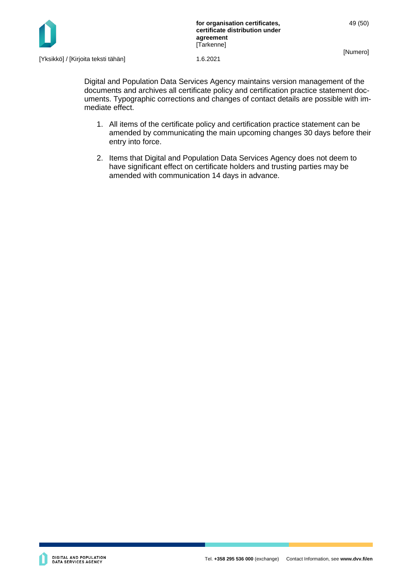

Digital and Population Data Services Agency maintains version management of the documents and archives all certificate policy and certification practice statement documents. Typographic corrections and changes of contact details are possible with immediate effect.

- 1. All items of the certificate policy and certification practice statement can be amended by communicating the main upcoming changes 30 days before their entry into force.
- 2. Items that Digital and Population Data Services Agency does not deem to have significant effect on certificate holders and trusting parties may be amended with communication 14 days in advance.